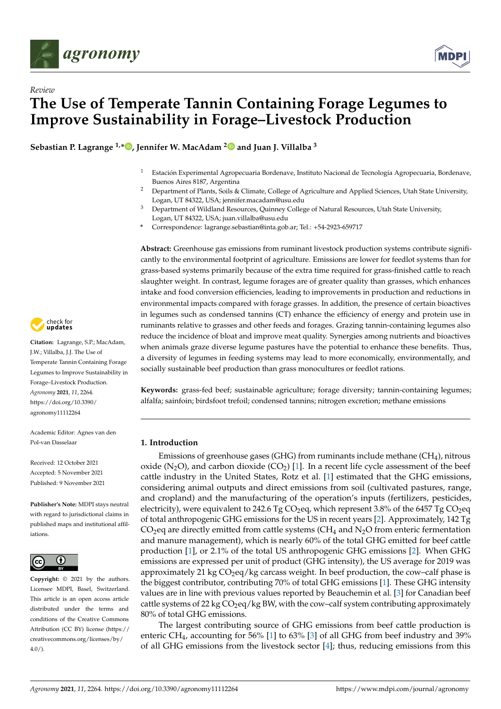

*Review*



# **The Use of Temperate Tannin Containing Forage Legumes to Improve Sustainability in Forage–Livestock Production**

**Sebastian P. Lagrange 1,[\\*](https://orcid.org/0000-0002-0886-9646) , Jennifer W. MacAdam [2](https://orcid.org/0000-0003-2349-9863) and Juan J. Villalba <sup>3</sup>**

- <sup>1</sup> Estación Experimental Agropecuaria Bordenave, Instituto Nacional de Tecnología Agropecuaria, Bordenave, Buenos Aires 8187, Argentina
- <sup>2</sup> Department of Plants, Soils & Climate, College of Agriculture and Applied Sciences, Utah State University, Logan, UT 84322, USA; jennifer.macadam@usu.edu
- <sup>3</sup> Department of Wildland Resources, Quinney College of Natural Resources, Utah State University, Logan, UT 84322, USA; juan.villalba@usu.edu
- **\*** Correspondence: lagrange.sebastian@inta.gob.ar; Tel.: +54-2923-659717

**Abstract:** Greenhouse gas emissions from ruminant livestock production systems contribute significantly to the environmental footprint of agriculture. Emissions are lower for feedlot systems than for grass-based systems primarily because of the extra time required for grass-finished cattle to reach slaughter weight. In contrast, legume forages are of greater quality than grasses, which enhances intake and food conversion efficiencies, leading to improvements in production and reductions in environmental impacts compared with forage grasses. In addition, the presence of certain bioactives in legumes such as condensed tannins (CT) enhance the efficiency of energy and protein use in ruminants relative to grasses and other feeds and forages. Grazing tannin-containing legumes also reduce the incidence of bloat and improve meat quality. Synergies among nutrients and bioactives when animals graze diverse legume pastures have the potential to enhance these benefits. Thus, a diversity of legumes in feeding systems may lead to more economically, environmentally, and socially sustainable beef production than grass monocultures or feedlot rations.

**Keywords:** grass-fed beef; sustainable agriculture; forage diversity; tannin-containing legumes; alfalfa; sainfoin; birdsfoot trefoil; condensed tannins; nitrogen excretion; methane emissions

## **1. Introduction**

Emissions of greenhouse gases (GHG) from ruminants include methane ( $CH<sub>4</sub>$ ), nitrous oxide (N<sub>2</sub>O), and carbon dioxide (CO<sub>2</sub>) [\[1\]](#page-10-0). In a recent life cycle assessment of the beef cattle industry in the United States, Rotz et al. [\[1\]](#page-10-0) estimated that the GHG emissions, considering animal outputs and direct emissions from soil (cultivated pastures, range, and cropland) and the manufacturing of the operation's inputs (fertilizers, pesticides, electricity), were equivalent to 242.6 Tg CO<sub>2</sub>eq, which represent 3.8% of the 6457 Tg CO<sub>2</sub>eq of total anthropogenic GHG emissions for the US in recent years [\[2\]](#page-10-1). Approximately, 142 Tg  $CO<sub>2</sub>$ eq are directly emitted from cattle systems (CH<sub>4</sub> and N<sub>2</sub>O from enteric fermentation and manure management), which is nearly 60% of the total GHG emitted for beef cattle production [\[1\]](#page-10-0), or 2.1% of the total US anthropogenic GHG emissions [\[2\]](#page-10-1). When GHG emissions are expressed per unit of product (GHG intensity), the US average for 2019 was approximately 21 kg  $CO<sub>2</sub>$ eq/kg carcass weight. In beef production, the cow–calf phase is the biggest contributor, contributing 70% of total GHG emissions [\[1\]](#page-10-0). These GHG intensity values are in line with previous values reported by Beauchemin et al. [\[3\]](#page-10-2) for Canadian beef cattle systems of 22 kg  $CO_2$ eq/kg BW, with the cow-calf system contributing approximately 80% of total GHG emissions.

The largest contributing source of GHG emissions from beef cattle production is enteric CH4, accounting for 56% [\[1\]](#page-10-0) to 63% [\[3\]](#page-10-2) of all GHG from beef industry and 39% of all GHG emissions from the livestock sector [\[4\]](#page-11-0); thus, reducing emissions from this



**Citation:** Lagrange, S.P.; MacAdam, J.W.; Villalba, J.J. The Use of Temperate Tannin Containing Forage Legumes to Improve Sustainability in Forage–Livestock Production. *Agronomy* **2021**, *11*, 2264. [https://doi.org/10.3390/](https://doi.org/10.3390/agronomy11112264) [agronomy11112264](https://doi.org/10.3390/agronomy11112264)

Academic Editor: Agnes van den Pol-van Dasselaar

Received: 12 October 2021 Accepted: 5 November 2021 Published: 9 November 2021

**Publisher's Note:** MDPI stays neutral with regard to jurisdictional claims in published maps and institutional affiliations.



**Copyright:** © 2021 by the authors. Licensee MDPI, Basel, Switzerland. This article is an open access article distributed under the terms and conditions of the Creative Commons Attribution (CC BY) license (https:/[/](https://creativecommons.org/licenses/by/4.0/) [creativecommons.org/licenses/by/](https://creativecommons.org/licenses/by/4.0/) 4.0/).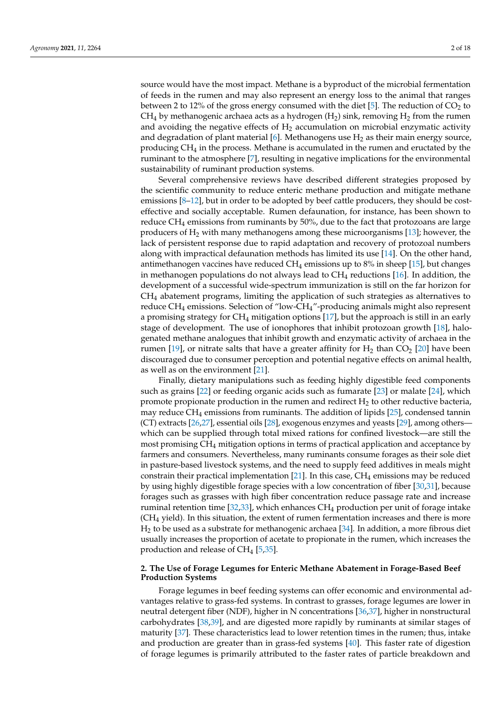source would have the most impact. Methane is a byproduct of the microbial fermentation of feeds in the rumen and may also represent an energy loss to the animal that ranges between 2 to 12% of the gross energy consumed with the diet [\[5\]](#page-11-1). The reduction of  $CO<sub>2</sub>$  to  $CH_4$  by methanogenic archaea acts as a hydrogen (H<sub>2</sub>) sink, removing H<sub>2</sub> from the rumen and avoiding the negative effects of  $H<sub>2</sub>$  accumulation on microbial enzymatic activity and degradation of plant material [\[6\]](#page-11-2). Methanogens use  $H_2$  as their main energy source, producing CH<sup>4</sup> in the process. Methane is accumulated in the rumen and eructated by the ruminant to the atmosphere [\[7\]](#page-11-3), resulting in negative implications for the environmental sustainability of ruminant production systems.

Several comprehensive reviews have described different strategies proposed by the scientific community to reduce enteric methane production and mitigate methane emissions [\[8](#page-11-4)[–12\]](#page-11-5), but in order to be adopted by beef cattle producers, they should be costeffective and socially acceptable. Rumen defaunation, for instance, has been shown to reduce  $CH_4$  emissions from ruminants by 50%, due to the fact that protozoans are large producers of  $H_2$  with many methanogens among these microorganisms [\[13\]](#page-11-6); however, the lack of persistent response due to rapid adaptation and recovery of protozoal numbers along with impractical defaunation methods has limited its use [\[14\]](#page-11-7). On the other hand, antimethanogen vaccines have reduced  $CH_4$  emissions up to 8% in sheep [\[15\]](#page-11-8), but changes in methanogen populations do not always lead to  $CH_4$  reductions [\[16\]](#page-11-9). In addition, the development of a successful wide-spectrum immunization is still on the far horizon for  $CH<sub>4</sub>$  abatement programs, limiting the application of such strategies as alternatives to reduce CH<sup>4</sup> emissions. Selection of "low-CH4"-producing animals might also represent a promising strategy for  $CH_4$  mitigation options [\[17\]](#page-11-10), but the approach is still in an early stage of development. The use of ionophores that inhibit protozoan growth [\[18\]](#page-11-11), halogenated methane analogues that inhibit growth and enzymatic activity of archaea in the rumen [\[19\]](#page-11-12), or nitrate salts that have a greater affinity for  $H_2$  than  $CO<sub>2</sub>$  [\[20\]](#page-11-13) have been discouraged due to consumer perception and potential negative effects on animal health, as well as on the environment [\[21\]](#page-11-14).

Finally, dietary manipulations such as feeding highly digestible feed components such as grains [\[22\]](#page-11-15) or feeding organic acids such as fumarate [\[23\]](#page-11-16) or malate [\[24\]](#page-11-17), which promote propionate production in the rumen and redirect  $H_2$  to other reductive bacteria, may reduce  $CH_4$  emissions from ruminants. The addition of lipids [\[25\]](#page-11-18), condensed tannin (CT) extracts [\[26,](#page-11-19)[27\]](#page-11-20), essential oils [\[28\]](#page-11-21), exogenous enzymes and yeasts [\[29\]](#page-11-22), among others which can be supplied through total mixed rations for confined livestock—are still the most promising CH<sup>4</sup> mitigation options in terms of practical application and acceptance by farmers and consumers. Nevertheless, many ruminants consume forages as their sole diet in pasture-based livestock systems, and the need to supply feed additives in meals might constrain their practical implementation [\[21\]](#page-11-14). In this case,  $CH_4$  emissions may be reduced by using highly digestible forage species with a low concentration of fiber [\[30](#page-11-23)[,31\]](#page-11-24), because forages such as grasses with high fiber concentration reduce passage rate and increase ruminal retention time  $[32,33]$  $[32,33]$ , which enhances CH<sub>4</sub> production per unit of forage intake (CH<sup>4</sup> yield). In this situation, the extent of rumen fermentation increases and there is more  $H_2$  to be used as a substrate for methanogenic archaea [\[34\]](#page-12-0). In addition, a more fibrous diet usually increases the proportion of acetate to propionate in the rumen, which increases the production and release of  $CH_4$  [\[5,](#page-11-1)[35\]](#page-12-1).

## **2. The Use of Forage Legumes for Enteric Methane Abatement in Forage-Based Beef Production Systems**

Forage legumes in beef feeding systems can offer economic and environmental advantages relative to grass-fed systems. In contrast to grasses, forage legumes are lower in neutral detergent fiber (NDF), higher in N concentrations [\[36](#page-12-2)[,37\]](#page-12-3), higher in nonstructural carbohydrates [\[38](#page-12-4)[,39\]](#page-12-5), and are digested more rapidly by ruminants at similar stages of maturity [\[37\]](#page-12-3). These characteristics lead to lower retention times in the rumen; thus, intake and production are greater than in grass-fed systems [\[40\]](#page-12-6). This faster rate of digestion of forage legumes is primarily attributed to the faster rates of particle breakdown and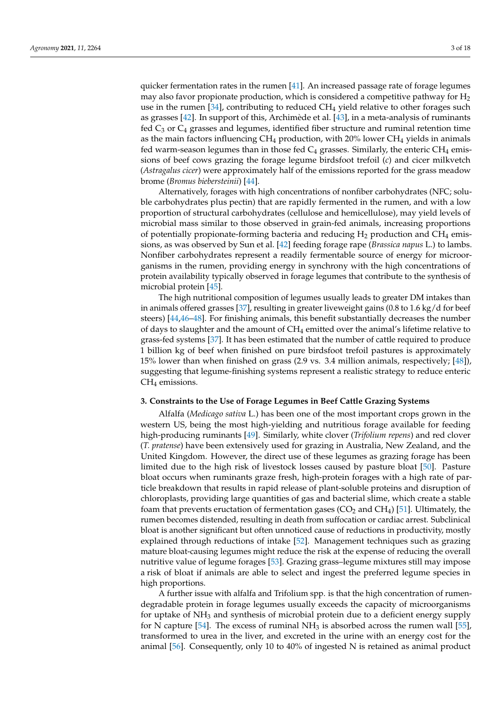quicker fermentation rates in the rumen [\[41\]](#page-12-7). An increased passage rate of forage legumes may also favor propionate production, which is considered a competitive pathway for  $H_2$ use in the rumen  $[34]$ , contributing to reduced  $CH_4$  yield relative to other forages such as grasses [\[42\]](#page-12-8). In support of this, Archimède et al. [\[43\]](#page-12-9), in a meta-analysis of ruminants fed  $C_3$  or  $C_4$  grasses and legumes, identified fiber structure and ruminal retention time as the main factors influencing  $CH_4$  production, with 20% lower  $CH_4$  yields in animals fed warm-season legumes than in those fed  $C_4$  grasses. Similarly, the enteric CH<sub>4</sub> emissions of beef cows grazing the forage legume birdsfoot trefoil (*c*) and cicer milkvetch (*Astragalus cicer*) were approximately half of the emissions reported for the grass meadow brome (*Bromus biebersteinii*) [\[44\]](#page-12-10).

Alternatively, forages with high concentrations of nonfiber carbohydrates (NFC; soluble carbohydrates plus pectin) that are rapidly fermented in the rumen, and with a low proportion of structural carbohydrates (cellulose and hemicellulose), may yield levels of microbial mass similar to those observed in grain-fed animals, increasing proportions of potentially propionate-forming bacteria and reducing  $H_2$  production and CH<sub>4</sub> emissions, as was observed by Sun et al. [\[42\]](#page-12-8) feeding forage rape (*Brassica napus* L.) to lambs. Nonfiber carbohydrates represent a readily fermentable source of energy for microorganisms in the rumen, providing energy in synchrony with the high concentrations of protein availability typically observed in forage legumes that contribute to the synthesis of microbial protein [\[45\]](#page-12-11).

The high nutritional composition of legumes usually leads to greater DM intakes than in animals offered grasses [\[37\]](#page-12-3), resulting in greater liveweight gains (0.8 to 1.6 kg/d for beef steers) [\[44,](#page-12-10)[46–](#page-12-12)[48\]](#page-12-13). For finishing animals, this benefit substantially decreases the number of days to slaughter and the amount of  $CH_4$  emitted over the animal's lifetime relative to grass-fed systems [\[37\]](#page-12-3). It has been estimated that the number of cattle required to produce 1 billion kg of beef when finished on pure birdsfoot trefoil pastures is approximately 15% lower than when finished on grass (2.9 vs. 3.4 million animals, respectively; [\[48\]](#page-12-13)), suggesting that legume-finishing systems represent a realistic strategy to reduce enteric CH<sub>4</sub> emissions.

#### **3. Constraints to the Use of Forage Legumes in Beef Cattle Grazing Systems**

Alfalfa (*Medicago sativa* L.) has been one of the most important crops grown in the western US, being the most high-yielding and nutritious forage available for feeding high-producing ruminants [\[49\]](#page-12-14). Similarly, white clover (*Trifolium repens*) and red clover (*T. pratense*) have been extensively used for grazing in Australia, New Zealand, and the United Kingdom. However, the direct use of these legumes as grazing forage has been limited due to the high risk of livestock losses caused by pasture bloat [\[50\]](#page-12-15). Pasture bloat occurs when ruminants graze fresh, high-protein forages with a high rate of particle breakdown that results in rapid release of plant-soluble proteins and disruption of chloroplasts, providing large quantities of gas and bacterial slime, which create a stable foam that prevents eructation of fermentation gases ( $CO<sub>2</sub>$  and  $CH<sub>4</sub>$ ) [\[51\]](#page-12-16). Ultimately, the rumen becomes distended, resulting in death from suffocation or cardiac arrest. Subclinical bloat is another significant but often unnoticed cause of reductions in productivity, mostly explained through reductions of intake [\[52\]](#page-12-17). Management techniques such as grazing mature bloat-causing legumes might reduce the risk at the expense of reducing the overall nutritive value of legume forages [\[53\]](#page-12-18). Grazing grass–legume mixtures still may impose a risk of bloat if animals are able to select and ingest the preferred legume species in high proportions.

A further issue with alfalfa and Trifolium spp. is that the high concentration of rumendegradable protein in forage legumes usually exceeds the capacity of microorganisms for uptake of NH<sup>3</sup> and synthesis of microbial protein due to a deficient energy supply for N capture [\[54\]](#page-12-19). The excess of ruminal  $NH<sub>3</sub>$  is absorbed across the rumen wall [\[55\]](#page-12-20), transformed to urea in the liver, and excreted in the urine with an energy cost for the animal [\[56\]](#page-12-21). Consequently, only 10 to 40% of ingested N is retained as animal product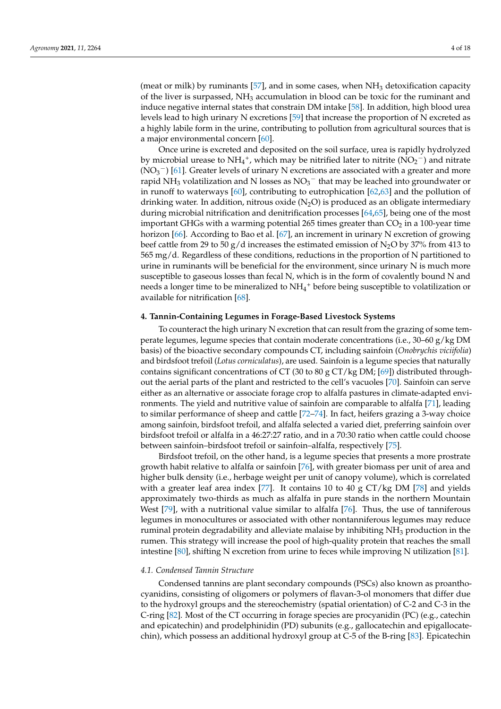(meat or milk) by ruminants [\[57\]](#page-12-22), and in some cases, when  $NH<sub>3</sub>$  detoxification capacity of the liver is surpassed,  $NH<sub>3</sub>$  accumulation in blood can be toxic for the ruminant and induce negative internal states that constrain DM intake [\[58\]](#page-12-23). In addition, high blood urea levels lead to high urinary N excretions [\[59\]](#page-12-24) that increase the proportion of N excreted as a highly labile form in the urine, contributing to pollution from agricultural sources that is a major environmental concern [\[60\]](#page-12-25).

Once urine is excreted and deposited on the soil surface, urea is rapidly hydrolyzed by microbial urease to  $NH_4^+$ , which may be nitrified later to nitrite ( $\overline{NO_2}^-$ ) and nitrate  $(NO<sub>3</sub><sup>-</sup>)$  [\[61\]](#page-12-26). Greater levels of urinary N excretions are associated with a greater and more rapid NH<sub>3</sub> volatilization and N losses as  $NO_3^-$  that may be leached into groundwater or in runoff to waterways [\[60\]](#page-12-25), contributing to eutrophication [\[62](#page-13-0)[,63\]](#page-13-1) and the pollution of drinking water. In addition, nitrous oxide  $(N_2O)$  is produced as an obligate intermediary during microbial nitrification and denitrification processes [\[64](#page-13-2)[,65\]](#page-13-3), being one of the most important GHGs with a warming potential 265 times greater than  $CO<sub>2</sub>$  in a 100-year time horizon [\[66\]](#page-13-4). According to Bao et al. [\[67\]](#page-13-5), an increment in urinary N excretion of growing beef cattle from 29 to 50 g/d increases the estimated emission of N<sub>2</sub>O by 37% from 413 to 565 mg/d. Regardless of these conditions, reductions in the proportion of N partitioned to urine in ruminants will be beneficial for the environment, since urinary N is much more susceptible to gaseous losses than fecal N, which is in the form of covalently bound N and needs a longer time to be mineralized to  $NH_4^+$  before being susceptible to volatilization or available for nitrification [\[68\]](#page-13-6).

## **4. Tannin-Containing Legumes in Forage-Based Livestock Systems**

To counteract the high urinary N excretion that can result from the grazing of some temperate legumes, legume species that contain moderate concentrations (i.e.,  $30-60$  g/kg DM basis) of the bioactive secondary compounds CT, including sainfoin (*Onobrychis viciifolia*) and birdsfoot trefoil (*Lotus corniculatus*), are used. Sainfoin is a legume species that naturally contains significant concentrations of CT (30 to 80 g CT/kg DM; [\[69\]](#page-13-7)) distributed throughout the aerial parts of the plant and restricted to the cell's vacuoles [\[70\]](#page-13-8). Sainfoin can serve either as an alternative or associate forage crop to alfalfa pastures in climate-adapted environments. The yield and nutritive value of sainfoin are comparable to alfalfa [\[71\]](#page-13-9), leading to similar performance of sheep and cattle [\[72–](#page-13-10)[74\]](#page-13-11). In fact, heifers grazing a 3-way choice among sainfoin, birdsfoot trefoil, and alfalfa selected a varied diet, preferring sainfoin over birdsfoot trefoil or alfalfa in a 46:27:27 ratio, and in a 70:30 ratio when cattle could choose between sainfoin–birdsfoot trefoil or sainfoin–alfalfa, respectively [\[75\]](#page-13-12).

Birdsfoot trefoil, on the other hand, is a legume species that presents a more prostrate growth habit relative to alfalfa or sainfoin [\[76\]](#page-13-13), with greater biomass per unit of area and higher bulk density (i.e., herbage weight per unit of canopy volume), which is correlated with a greater leaf area index [\[77\]](#page-13-14). It contains 10 to 40 g  $CT/kg DM$  [\[78\]](#page-13-15) and yields approximately two-thirds as much as alfalfa in pure stands in the northern Mountain West [\[79\]](#page-13-16), with a nutritional value similar to alfalfa [\[76\]](#page-13-13). Thus, the use of tanniferous legumes in monocultures or associated with other nontanniferous legumes may reduce ruminal protein degradability and alleviate malaise by inhibiting  $NH<sub>3</sub>$  production in the rumen. This strategy will increase the pool of high-quality protein that reaches the small intestine [\[80\]](#page-13-17), shifting N excretion from urine to feces while improving N utilization [\[81\]](#page-13-18).

## *4.1. Condensed Tannin Structure*

Condensed tannins are plant secondary compounds (PSCs) also known as proanthocyanidins, consisting of oligomers or polymers of flavan-3-ol monomers that differ due to the hydroxyl groups and the stereochemistry (spatial orientation) of C-2 and C-3 in the C-ring [\[82\]](#page-13-19). Most of the CT occurring in forage species are procyanidin (PC) (e.g., catechin and epicatechin) and prodelphinidin (PD) subunits (e.g., gallocatechin and epigallocatechin), which possess an additional hydroxyl group at C-5 of the B-ring [\[83\]](#page-13-20). Epicatechin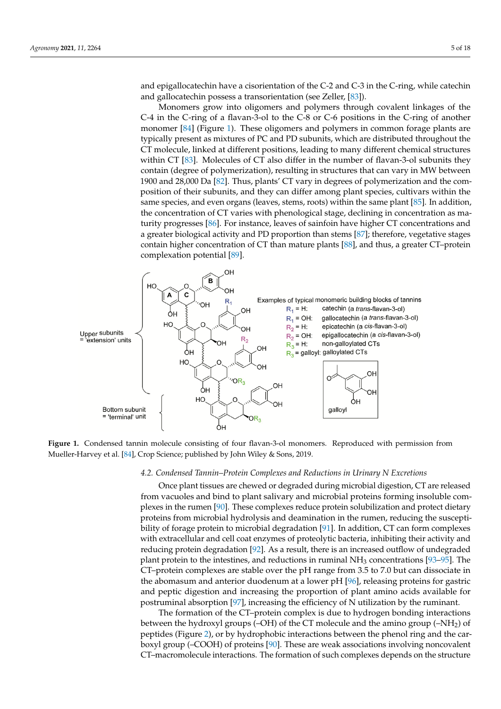and epigallocatechin have a cisorientation of the C-2 and C-3 in the C-ring, while catechin and epigallocatechin have a cisorientation of the C-2 and C-3 in the C-ring, while catechin and gallocatechin possess a transorientation (see Zeller, [\[83\]](#page-13-20)). and gallocatechin possess a transorientation (see Zeller, [83]).

and epicateching (PD) subunits (e.g., gallocatechinidin (PD) subunits (e.g., gallocatechin and epigallocates-

Monomers grow into oligomers and polymers through covalent linkages of the C-4 in the C-ring of a flavan-3-ol to the C-8 or C-6 positions in the C-ring of another monomer [\[84\]](#page-13-21) (Figure [1\)](#page-4-0). These oligomers and polymers in common forage plants are [84] (Figure 1). These oligomers and polymers in common forage plants are typically pretypically present as mixtures of PC and PD subunits, which are distributed throughout the  $\overrightarrow{CT}$  molecule, linked at different positions, leading to many different chemical structures within CT  $[83]$ . Molecules of CT also differ in the number of flavan-3-ol subunits they contain (degree of polymerization), resulting in structures that can vary in MW between 1900 and 28,000 Da [\[82\]](#page-13-19). Thus, plants' CT vary in degrees of polymerization and the composition of their subunits, and they can differ among plant species, cultivars within the same species, and even organs (leaves, stems, roots) within the same plant [\[85\]](#page-13-22). In addition, the concentration of CT varies with phenological stage, declining in concentration as ma-turity progresses [\[86\]](#page-13-23). For instance, leaves of sainfoin have higher CT concentrations and a greater biological activity and PD proportion than stems [\[87\]](#page-14-0); therefore, vegetative stages contain higher concentration of CT than mature plants [\[88\]](#page-14-1), and thus, a greater CT-protein complexation potential [\[89\]](#page-14-2).

<span id="page-4-0"></span>

Figure 1. Condensed tannin molecule consisting of four flavan-3-ol monomers. Reproduced with permission from Mueller-Harvey et al. [84], Crop Science; published by John Wiley & Sons, 2019. Mueller-Harvey et al. [\[84\]](#page-13-21), Crop Science; published by John Wiley & Sons, 2019.

## 4.2. Condensed Tannin-Protein Complexes and Reductions in Urinary N Excretions

Once plant tissues are chewed or degraded during microbial digestion, CT are released from vacuoles and bind to plant salivary and microbial proteins forming insoluble complexes in the ru[me](#page-14-3)n  $[90]$ . These complexes reduce protein solubilization and protect dietary plexes in the rumen [90]. These complexes reduce protein solubilization and protect dietary<br>proteins from microbial hydrolysis and deamination in the rumen, reducing the suscepti-bility of forage protein to microbial degradation [\[91\]](#page-14-4). In addition,  $CT$  can form complexes with extracellular and cell coat enzymes of proteolytic bacteria, inhibiting their activity and reducing protein degradation [\[92\]](#page-14-5). As a result, there is an increased outflow of undegraded plant protein to the intestines, and reductions in ruminal  $NH<sub>3</sub>$  concentrations [\[93–](#page-14-6)[95\]](#page-14-7). The CT–protein complexes are stable over the pH range from 3.5 to 7.0 but can dissociate in the abomasum and anterior duodenum at a lower pH [\[96\]](#page-14-8), releasing proteins for gastric and peptic digestion and increasing the proportion of plant amino acids available for postruminal absorption [\[97\]](#page-14-9), increasing the efficiency of N utilization by the ruminant.

The formation of the CT–protein complex is due to hydrogen bonding interactions between the hydroxyl groups (–OH) of the CT molecule and the amino group (–NH2) of peptides (Figure [2\)](#page-5-0), or by hydrophobic interactions between the phenol ring and the carboxyl group (–COOH) of proteins [\[90\]](#page-14-3). These are weak associations involving noncovalent CT–macromolecule interactions. The formation of such complexes depends on the structure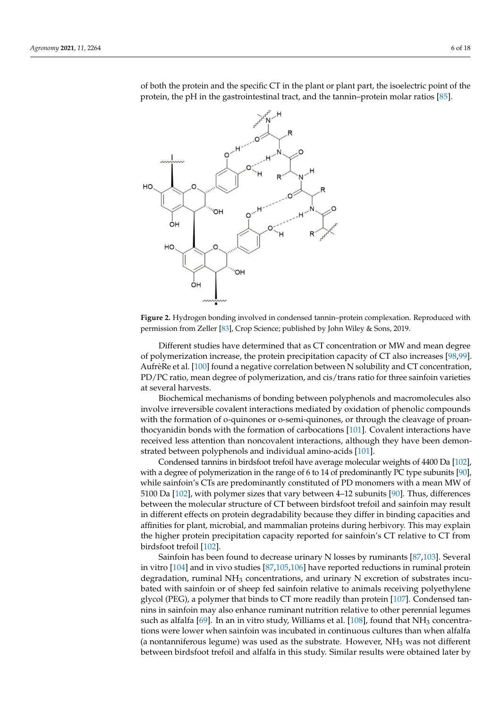<span id="page-5-0"></span>

 $\delta$  both the protein and the specific CT in the plant or plant part, the isoelectric point of the protein, the pH in the gastrointestinal tract, and the tannin–protein molar ratios [\[85\]](#page-13-22).

**Figure 2.** Hydrogen bonding involved in condensed tannin–protein complexation. Reproduced **Figure 2.** Hydrogen bonding involved in condensed tannin–protein complexation. Reproduced with permission from Zeller [\[83\]](#page-13-20), Crop Science; published by John Wiley & Sons, 2019.

Different studies have determined that as CT concentration or MW and mean degree of polymerization increase, the protein precipitation capacity of CT also increases [\[98,](#page-14-10)[99\]](#page-14-11). of polymerization increase, the protein precipitation capacity of CT also increases [98,99]. AufrèRe et al. [\[100\]](#page-14-12) found a negative correlation between N solubility and CT concentration,  $P_{\rm D}$  (PC ratio, moon degree of polymerization and cis (trans ratio for three coinfold varieties) tion, PD/PC ratio, mean degree of polymerization, and cis/trans ratio for three sainfoin PD/PC ratio, mean degree of polymerization, and cis/trans ratio for three sainfoin varieties Different studies have determined that as CT concentration or MW and mean degree at several harvests.

Biochemical mechanisms of bonding between polyphenols and macromolecules also involve irreversible covalent interactions mediated by oxidation of phenolic compounds with the formation of o-quinones or o-semi-quinones, or through the cleavage of proan-thocyanidin bonds with the formation of carbocations [\[101\]](#page-14-13). Covalent interactions have received less attention than noncovalent interactions, although they have been demon-strated between polyphenols and individual amino-acids [\[101\]](#page-14-13).

Condensed tannins in birdsfoot trefoil have average molecular weights of 4400 Da [\[102\]](#page-14-14), with a degree of polymerization in the range of 6 to 14 of predominantly PC type subunits [\[90\]](#page-14-3), while sainfoin's CTs are predominantly constituted of PD monomers with a mean MW of 5100 Da [\[102\]](#page-14-14), with polymer sizes that vary between 4-12 subunits [\[90\]](#page-14-3). Thus, differences between the molecular structure of CT between birdsfoot trefoil and sainfoin may result in different effects on protein degradability because they differ in binding capacities and affinities for plant, microbial, and mammalian proteins during herbivory. This may explain the higher protein precipitation capacity reported for sainfoin's CT relative to CT from  $\frac{100}{102}$ .

Sainfoin has been found to decrease urinary N losses by ruminants  $[87,103]$  $[87,103]$ . Several in vitro  $[104]$  and in vivo studies  $[87,105,106]$  have reported reductions in ruminal protein degradation, ruminal NH<sub>3</sub> concentrations, and urinary N excretion of substrates incubated with sainfoin or of sheep fed sainfoin relative to animals receiving polyethylene glycol (PEG), a polymer that binds to CT more readily than protein [\[107\]](#page-14-19). Condensed tannins in sainfoin may also enhance ruminant nutrition relative to other perennial legumes such as alfalfa [\[69\]](#page-13-7). In an in vitro study, Williams et al. [\[108\]](#page-14-20), found that  $NH<sub>3</sub>$  concentrations were lower when sainfoin was incubated in continuous cultures than when alfalfa (a nontanniferous legume) was used as the substrate. However,  $NH<sub>3</sub>$  was not different between birdsfoot trefoil and alfalfa in this study. Similar results were obtained later by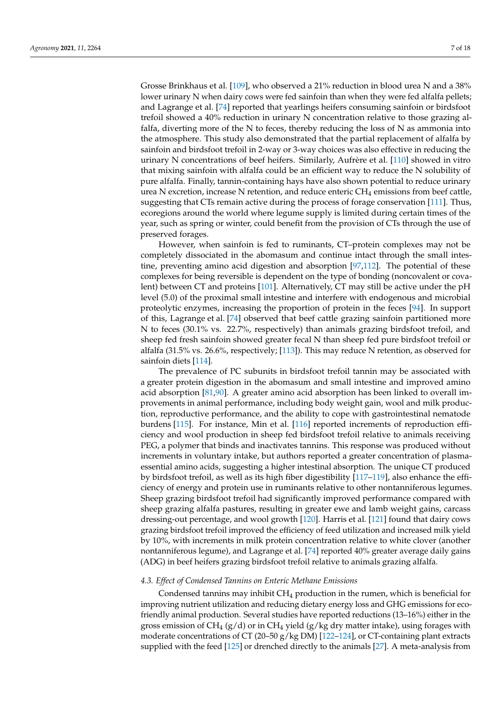Grosse Brinkhaus et al. [\[109\]](#page-14-21), who observed a 21% reduction in blood urea N and a 38% lower urinary N when dairy cows were fed sainfoin than when they were fed alfalfa pellets; and Lagrange et al. [\[74\]](#page-13-11) reported that yearlings heifers consuming sainfoin or birdsfoot trefoil showed a 40% reduction in urinary N concentration relative to those grazing alfalfa, diverting more of the N to feces, thereby reducing the loss of N as ammonia into the atmosphere. This study also demonstrated that the partial replacement of alfalfa by sainfoin and birdsfoot trefoil in 2-way or 3-way choices was also effective in reducing the urinary N concentrations of beef heifers. Similarly, Aufrère et al. [\[110\]](#page-15-0) showed in vitro that mixing sainfoin with alfalfa could be an efficient way to reduce the N solubility of pure alfalfa. Finally, tannin-containing hays have also shown potential to reduce urinary urea N excretion, increase N retention, and reduce enteric  $CH_4$  emissions from beef cattle, suggesting that CTs remain active during the process of forage conservation [\[111\]](#page-15-1). Thus, ecoregions around the world where legume supply is limited during certain times of the year, such as spring or winter, could benefit from the provision of CTs through the use of preserved forages.

However, when sainfoin is fed to ruminants, CT–protein complexes may not be completely dissociated in the abomasum and continue intact through the small intestine, preventing amino acid digestion and absorption [\[97](#page-14-9)[,112\]](#page-15-2). The potential of these complexes for being reversible is dependent on the type of bonding (noncovalent or covalent) between CT and proteins [\[101\]](#page-14-13). Alternatively, CT may still be active under the pH level (5.0) of the proximal small intestine and interfere with endogenous and microbial proteolytic enzymes, increasing the proportion of protein in the feces [\[94\]](#page-14-22). In support of this, Lagrange et al. [\[74\]](#page-13-11) observed that beef cattle grazing sainfoin partitioned more N to feces (30.1% vs. 22.7%, respectively) than animals grazing birdsfoot trefoil, and sheep fed fresh sainfoin showed greater fecal N than sheep fed pure birdsfoot trefoil or alfalfa (31.5% vs. 26.6%, respectively; [\[113\]](#page-15-3)). This may reduce N retention, as observed for sainfoin diets [\[114\]](#page-15-4).

The prevalence of PC subunits in birdsfoot trefoil tannin may be associated with a greater protein digestion in the abomasum and small intestine and improved amino acid absorption [\[81,](#page-13-18)[90\]](#page-14-3). A greater amino acid absorption has been linked to overall improvements in animal performance, including body weight gain, wool and milk production, reproductive performance, and the ability to cope with gastrointestinal nematode burdens [\[115\]](#page-15-5). For instance, Min et al. [\[116\]](#page-15-6) reported increments of reproduction efficiency and wool production in sheep fed birdsfoot trefoil relative to animals receiving PEG, a polymer that binds and inactivates tannins. This response was produced without increments in voluntary intake, but authors reported a greater concentration of plasmaessential amino acids, suggesting a higher intestinal absorption. The unique CT produced by birdsfoot trefoil, as well as its high fiber digestibility [\[117](#page-15-7)[–119\]](#page-15-8), also enhance the efficiency of energy and protein use in ruminants relative to other nontanniferous legumes. Sheep grazing birdsfoot trefoil had significantly improved performance compared with sheep grazing alfalfa pastures, resulting in greater ewe and lamb weight gains, carcass dressing-out percentage, and wool growth [\[120\]](#page-15-9). Harris et al. [\[121\]](#page-15-10) found that dairy cows grazing birdsfoot trefoil improved the efficiency of feed utilization and increased milk yield by 10%, with increments in milk protein concentration relative to white clover (another nontanniferous legume), and Lagrange et al. [\[74\]](#page-13-11) reported 40% greater average daily gains (ADG) in beef heifers grazing birdsfoot trefoil relative to animals grazing alfalfa.

#### *4.3. Effect of Condensed Tannins on Enteric Methane Emissions*

Condensed tannins may inhibit  $CH_4$  production in the rumen, which is beneficial for improving nutrient utilization and reducing dietary energy loss and GHG emissions for ecofriendly animal production. Several studies have reported reductions (13–16%) either in the gross emission of CH<sub>4</sub> (g/d) or in CH<sub>4</sub> yield (g/kg dry matter intake), using forages with moderate concentrations of CT (20–50 g/kg DM) [\[122–](#page-15-11)[124\]](#page-15-12), or CT-containing plant extracts supplied with the feed [\[125\]](#page-15-13) or drenched directly to the animals [\[27\]](#page-11-20). A meta-analysis from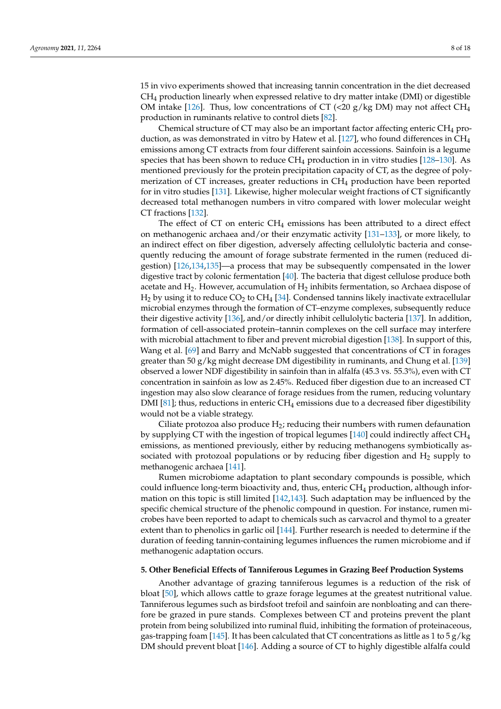15 in vivo experiments showed that increasing tannin concentration in the diet decreased CH<sup>4</sup> production linearly when expressed relative to dry matter intake (DMI) or digestible OM intake [\[126\]](#page-15-14). Thus, low concentrations of CT (<20 g/kg DM) may not affect  $CH_4$ production in ruminants relative to control diets [\[82\]](#page-13-19).

Chemical structure of CT may also be an important factor affecting enteric  $CH_4$  pro-duction, as was demonstrated in vitro by Hatew et al. [\[127\]](#page-15-15), who found differences in  $CH<sub>4</sub>$ emissions among CT extracts from four different sainfoin accessions. Sainfoin is a legume species that has been shown to reduce  $CH_4$  production in in vitro studies [\[128](#page-15-16)[–130\]](#page-15-17). As mentioned previously for the protein precipitation capacity of CT, as the degree of polymerization of CT increases, greater reductions in CH<sup>4</sup> production have been reported for in vitro studies [\[131\]](#page-15-18). Likewise, higher molecular weight fractions of CT significantly decreased total methanogen numbers in vitro compared with lower molecular weight CT fractions [\[132\]](#page-16-0).

The effect of CT on enteric  $CH_4$  emissions has been attributed to a direct effect on methanogenic archaea and/or their enzymatic activity [\[131–](#page-15-18)[133\]](#page-16-1), or more likely, to an indirect effect on fiber digestion, adversely affecting cellulolytic bacteria and consequently reducing the amount of forage substrate fermented in the rumen (reduced digestion) [\[126,](#page-15-14)[134](#page-16-2)[,135\]](#page-16-3)—a process that may be subsequently compensated in the lower digestive tract by colonic fermentation [\[40\]](#page-12-6). The bacteria that digest cellulose produce both acetate and  $H_2$ . However, accumulation of  $H_2$  inhibits fermentation, so Archaea dispose of  $H_2$  by using it to reduce  $CO_2$  to  $CH_4$  [\[34\]](#page-12-0). Condensed tannins likely inactivate extracellular microbial enzymes through the formation of CT–enzyme complexes, subsequently reduce their digestive activity [\[136\]](#page-16-4), and/or directly inhibit cellulolytic bacteria [\[137\]](#page-16-5). In addition, formation of cell-associated protein–tannin complexes on the cell surface may interfere with microbial attachment to fiber and prevent microbial digestion [\[138\]](#page-16-6). In support of this, Wang et al. [\[69\]](#page-13-7) and Barry and McNabb suggested that concentrations of CT in forages greater than 50  $g/kg$  might decrease DM digestibility in ruminants, and Chung et al. [\[139\]](#page-16-7) observed a lower NDF digestibility in sainfoin than in alfalfa (45.3 vs. 55.3%), even with CT concentration in sainfoin as low as 2.45%. Reduced fiber digestion due to an increased CT ingestion may also slow clearance of forage residues from the rumen, reducing voluntary DMI [\[81\]](#page-13-18); thus, reductions in enteric  $CH_4$  emissions due to a decreased fiber digestibility would not be a viable strategy.

Ciliate protozoa also produce  $H_2$ ; reducing their numbers with rumen defaunation by supplying CT with the ingestion of tropical legumes  $[140]$  could indirectly affect CH<sub>4</sub> emissions, as mentioned previously, either by reducing methanogens symbiotically associated with protozoal populations or by reducing fiber digestion and  $H_2$  supply to methanogenic archaea [\[141\]](#page-16-9).

Rumen microbiome adaptation to plant secondary compounds is possible, which could influence long-term bioactivity and, thus, enteric  $CH_4$  production, although information on this topic is still limited [\[142,](#page-16-10)[143\]](#page-16-11). Such adaptation may be influenced by the specific chemical structure of the phenolic compound in question. For instance, rumen microbes have been reported to adapt to chemicals such as carvacrol and thymol to a greater extent than to phenolics in garlic oil [\[144\]](#page-16-12). Further research is needed to determine if the duration of feeding tannin-containing legumes influences the rumen microbiome and if methanogenic adaptation occurs.

#### **5. Other Beneficial Effects of Tanniferous Legumes in Grazing Beef Production Systems**

Another advantage of grazing tanniferous legumes is a reduction of the risk of bloat [\[50\]](#page-12-15), which allows cattle to graze forage legumes at the greatest nutritional value. Tanniferous legumes such as birdsfoot trefoil and sainfoin are nonbloating and can therefore be grazed in pure stands. Complexes between CT and proteins prevent the plant protein from being solubilized into ruminal fluid, inhibiting the formation of proteinaceous, gas-trapping foam [\[145\]](#page-16-13). It has been calculated that CT concentrations as little as 1 to 5  $g/kg$ DM should prevent bloat [\[146\]](#page-16-14). Adding a source of CT to highly digestible alfalfa could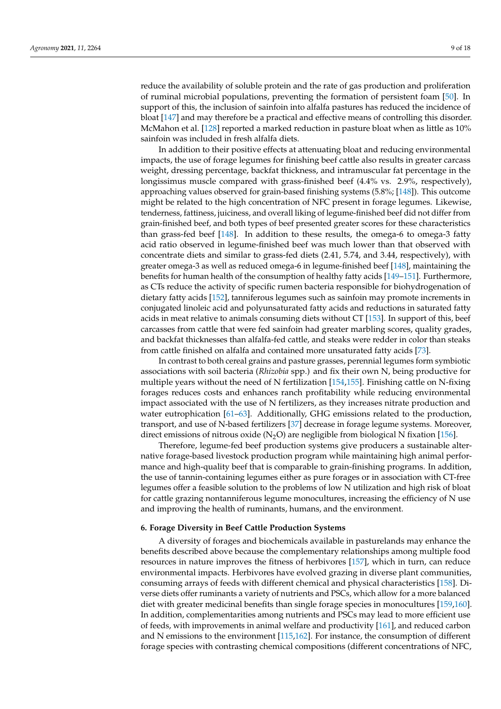reduce the availability of soluble protein and the rate of gas production and proliferation of ruminal microbial populations, preventing the formation of persistent foam [\[50\]](#page-12-15). In support of this, the inclusion of sainfoin into alfalfa pastures has reduced the incidence of bloat [\[147\]](#page-16-15) and may therefore be a practical and effective means of controlling this disorder. McMahon et al. [\[128\]](#page-15-16) reported a marked reduction in pasture bloat when as little as 10% sainfoin was included in fresh alfalfa diets.

In addition to their positive effects at attenuating bloat and reducing environmental impacts, the use of forage legumes for finishing beef cattle also results in greater carcass weight, dressing percentage, backfat thickness, and intramuscular fat percentage in the longissimus muscle compared with grass-finished beef (4.4% vs. 2.9%, respectively), approaching values observed for grain-based finishing systems (5.8%; [\[148\]](#page-16-16)). This outcome might be related to the high concentration of NFC present in forage legumes. Likewise, tenderness, fattiness, juiciness, and overall liking of legume-finished beef did not differ from grain-finished beef, and both types of beef presented greater scores for these characteristics than grass-fed beef [\[148\]](#page-16-16). In addition to these results, the omega-6 to omega-3 fatty acid ratio observed in legume-finished beef was much lower than that observed with concentrate diets and similar to grass-fed diets (2.41, 5.74, and 3.44, respectively), with greater omega-3 as well as reduced omega-6 in legume-finished beef [\[148\]](#page-16-16), maintaining the benefits for human health of the consumption of healthy fatty acids [\[149–](#page-16-17)[151\]](#page-16-18). Furthermore, as CTs reduce the activity of specific rumen bacteria responsible for biohydrogenation of dietary fatty acids [\[152\]](#page-16-19), tanniferous legumes such as sainfoin may promote increments in conjugated linoleic acid and polyunsaturated fatty acids and reductions in saturated fatty acids in meat relative to animals consuming diets without CT [\[153\]](#page-16-20). In support of this, beef carcasses from cattle that were fed sainfoin had greater marbling scores, quality grades, and backfat thicknesses than alfalfa-fed cattle, and steaks were redder in color than steaks from cattle finished on alfalfa and contained more unsaturated fatty acids [\[73\]](#page-13-24).

In contrast to both cereal grains and pasture grasses, perennial legumes form symbiotic associations with soil bacteria (*Rhizobia* spp.) and fix their own N, being productive for multiple years without the need of N fertilization [\[154](#page-16-21)[,155\]](#page-16-22). Finishing cattle on N-fixing forages reduces costs and enhances ranch profitability while reducing environmental impact associated with the use of N fertilizers, as they increases nitrate production and water eutrophication [\[61–](#page-12-26)[63\]](#page-13-1). Additionally, GHG emissions related to the production, transport, and use of N-based fertilizers [\[37\]](#page-12-3) decrease in forage legume systems. Moreover, direct emissions of nitrous oxide  $(N_2O)$  are negligible from biological N fixation [\[156\]](#page-17-0).

Therefore, legume-fed beef production systems give producers a sustainable alternative forage-based livestock production program while maintaining high animal performance and high-quality beef that is comparable to grain-finishing programs. In addition, the use of tannin-containing legumes either as pure forages or in association with CT-free legumes offer a feasible solution to the problems of low N utilization and high risk of bloat for cattle grazing nontanniferous legume monocultures, increasing the efficiency of N use and improving the health of ruminants, humans, and the environment.

#### **6. Forage Diversity in Beef Cattle Production Systems**

A diversity of forages and biochemicals available in pasturelands may enhance the benefits described above because the complementary relationships among multiple food resources in nature improves the fitness of herbivores [\[157\]](#page-17-1), which in turn, can reduce environmental impacts. Herbivores have evolved grazing in diverse plant communities, consuming arrays of feeds with different chemical and physical characteristics [\[158\]](#page-17-2). Diverse diets offer ruminants a variety of nutrients and PSCs, which allow for a more balanced diet with greater medicinal benefits than single forage species in monocultures [\[159,](#page-17-3)[160\]](#page-17-4). In addition, complementarities among nutrients and PSCs may lead to more efficient use of feeds, with improvements in animal welfare and productivity [\[161\]](#page-17-5), and reduced carbon and N emissions to the environment [\[115](#page-15-5)[,162\]](#page-17-6). For instance, the consumption of different forage species with contrasting chemical compositions (different concentrations of NFC,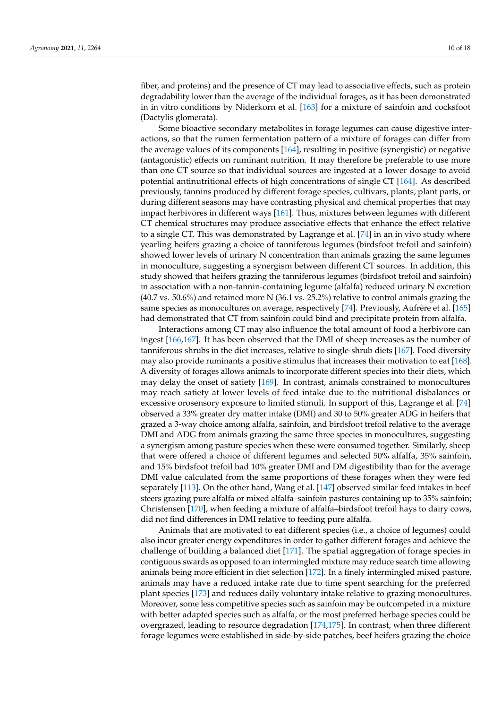fiber, and proteins) and the presence of CT may lead to associative effects, such as protein degradability lower than the average of the individual forages, as it has been demonstrated in in vitro conditions by Niderkorn et al. [\[163\]](#page-17-7) for a mixture of sainfoin and cocksfoot (Dactylis glomerata).

Some bioactive secondary metabolites in forage legumes can cause digestive interactions, so that the rumen fermentation pattern of a mixture of forages can differ from the average values of its components [\[164\]](#page-17-8), resulting in positive (synergistic) or negative (antagonistic) effects on ruminant nutrition. It may therefore be preferable to use more than one CT source so that individual sources are ingested at a lower dosage to avoid potential antinutritional effects of high concentrations of single CT [\[164\]](#page-17-8). As described previously, tannins produced by different forage species, cultivars, plants, plant parts, or during different seasons may have contrasting physical and chemical properties that may impact herbivores in different ways [\[161\]](#page-17-5). Thus, mixtures between legumes with different CT chemical structures may produce associative effects that enhance the effect relative to a single CT. This was demonstrated by Lagrange et al. [\[74\]](#page-13-11) in an in vivo study where yearling heifers grazing a choice of tanniferous legumes (birdsfoot trefoil and sainfoin) showed lower levels of urinary N concentration than animals grazing the same legumes in monoculture, suggesting a synergism between different CT sources. In addition, this study showed that heifers grazing the tanniferous legumes (birdsfoot trefoil and sainfoin) in association with a non-tannin-containing legume (alfalfa) reduced urinary N excretion (40.7 vs. 50.6%) and retained more N (36.1 vs. 25.2%) relative to control animals grazing the same species as monocultures on average, respectively [\[74\]](#page-13-11). Previously, Aufrère et al. [\[165\]](#page-17-9) had demonstrated that CT from sainfoin could bind and precipitate protein from alfalfa.

Interactions among CT may also influence the total amount of food a herbivore can ingest [\[166](#page-17-10)[,167\]](#page-17-11). It has been observed that the DMI of sheep increases as the number of tanniferous shrubs in the diet increases, relative to single-shrub diets [\[167\]](#page-17-11). Food diversity may also provide ruminants a positive stimulus that increases their motivation to eat [\[168\]](#page-17-12). A diversity of forages allows animals to incorporate different species into their diets, which may delay the onset of satiety [\[169\]](#page-17-13). In contrast, animals constrained to monocultures may reach satiety at lower levels of feed intake due to the nutritional disbalances or excessive orosensory exposure to limited stimuli. In support of this, Lagrange et al. [\[74\]](#page-13-11) observed a 33% greater dry matter intake (DMI) and 30 to 50% greater ADG in heifers that grazed a 3-way choice among alfalfa, sainfoin, and birdsfoot trefoil relative to the average DMI and ADG from animals grazing the same three species in monocultures, suggesting a synergism among pasture species when these were consumed together. Similarly, sheep that were offered a choice of different legumes and selected 50% alfalfa, 35% sainfoin, and 15% birdsfoot trefoil had 10% greater DMI and DM digestibility than for the average DMI value calculated from the same proportions of these forages when they were fed separately [\[113\]](#page-15-3). On the other hand, Wang et al. [\[147\]](#page-16-15) observed similar feed intakes in beef steers grazing pure alfalfa or mixed alfalfa–sainfoin pastures containing up to 35% sainfoin; Christensen [\[170\]](#page-17-14), when feeding a mixture of alfalfa–birdsfoot trefoil hays to dairy cows, did not find differences in DMI relative to feeding pure alfalfa.

Animals that are motivated to eat different species (i.e., a choice of legumes) could also incur greater energy expenditures in order to gather different forages and achieve the challenge of building a balanced diet [\[171\]](#page-17-15). The spatial aggregation of forage species in contiguous swards as opposed to an intermingled mixture may reduce search time allowing animals being more efficient in diet selection [\[172\]](#page-17-16). In a finely intermingled mixed pasture, animals may have a reduced intake rate due to time spent searching for the preferred plant species [\[173\]](#page-17-17) and reduces daily voluntary intake relative to grazing monocultures. Moreover, some less competitive species such as sainfoin may be outcompeted in a mixture with better adapted species such as alfalfa, or the most preferred herbage species could be overgrazed, leading to resource degradation [\[174](#page-17-18)[,175\]](#page-17-19). In contrast, when three different forage legumes were established in side-by-side patches, beef heifers grazing the choice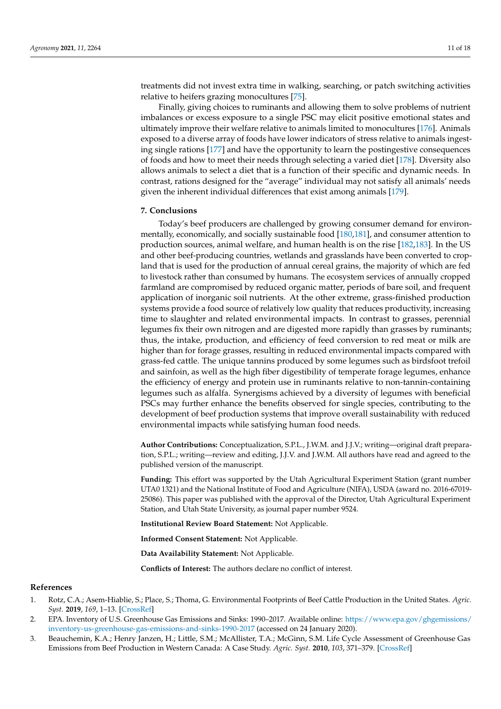treatments did not invest extra time in walking, searching, or patch switching activities relative to heifers grazing monocultures [\[75\]](#page-13-12).

Finally, giving choices to ruminants and allowing them to solve problems of nutrient imbalances or excess exposure to a single PSC may elicit positive emotional states and ultimately improve their welfare relative to animals limited to monocultures [\[176\]](#page-17-20). Animals exposed to a diverse array of foods have lower indicators of stress relative to animals ingesting single rations [\[177\]](#page-17-21) and have the opportunity to learn the postingestive consequences of foods and how to meet their needs through selecting a varied diet [\[178\]](#page-17-22). Diversity also allows animals to select a diet that is a function of their specific and dynamic needs. In contrast, rations designed for the "average" individual may not satisfy all animals' needs given the inherent individual differences that exist among animals [\[179\]](#page-17-23).

### **7. Conclusions**

Today's beef producers are challenged by growing consumer demand for environmentally, economically, and socially sustainable food [\[180,](#page-17-24)[181\]](#page-17-25), and consumer attention to production sources, animal welfare, and human health is on the rise [\[182,](#page-17-26)[183\]](#page-17-27). In the US and other beef-producing countries, wetlands and grasslands have been converted to cropland that is used for the production of annual cereal grains, the majority of which are fed to livestock rather than consumed by humans. The ecosystem services of annually cropped farmland are compromised by reduced organic matter, periods of bare soil, and frequent application of inorganic soil nutrients. At the other extreme, grass-finished production systems provide a food source of relatively low quality that reduces productivity, increasing time to slaughter and related environmental impacts. In contrast to grasses, perennial legumes fix their own nitrogen and are digested more rapidly than grasses by ruminants; thus, the intake, production, and efficiency of feed conversion to red meat or milk are higher than for forage grasses, resulting in reduced environmental impacts compared with grass-fed cattle. The unique tannins produced by some legumes such as birdsfoot trefoil and sainfoin, as well as the high fiber digestibility of temperate forage legumes, enhance the efficiency of energy and protein use in ruminants relative to non-tannin-containing legumes such as alfalfa. Synergisms achieved by a diversity of legumes with beneficial PSCs may further enhance the benefits observed for single species, contributing to the development of beef production systems that improve overall sustainability with reduced environmental impacts while satisfying human food needs.

**Author Contributions:** Conceptualization, S.P.L., J.W.M. and J.J.V.; writing—original draft preparation, S.P.L.; writing—review and editing, J.J.V. and J.W.M. All authors have read and agreed to the published version of the manuscript.

**Funding:** This effort was supported by the Utah Agricultural Experiment Station (grant number UTA0 1321) and the National Institute of Food and Agriculture (NIFA), USDA (award no. 2016-67019- 25086). This paper was published with the approval of the Director, Utah Agricultural Experiment Station, and Utah State University, as journal paper number 9524.

**Institutional Review Board Statement:** Not Applicable.

**Informed Consent Statement:** Not Applicable.

**Data Availability Statement:** Not Applicable.

**Conflicts of Interest:** The authors declare no conflict of interest.

#### **References**

- <span id="page-10-0"></span>1. Rotz, C.A.; Asem-Hiablie, S.; Place, S.; Thoma, G. Environmental Footprints of Beef Cattle Production in the United States. *Agric. Syst.* **2019**, *169*, 1–13. [\[CrossRef\]](http://doi.org/10.1016/j.agsy.2018.11.005)
- <span id="page-10-1"></span>2. EPA. Inventory of U.S. Greenhouse Gas Emissions and Sinks: 1990–2017. Available online: [https://www.epa.gov/ghgemissions/](https://www.epa.gov/ghgemissions/inventory-us-greenhouse-gas-emissions-and-sinks-1990-2017) [inventory-us-greenhouse-gas-emissions-and-sinks-1990-2017](https://www.epa.gov/ghgemissions/inventory-us-greenhouse-gas-emissions-and-sinks-1990-2017) (accessed on 24 January 2020).
- <span id="page-10-2"></span>3. Beauchemin, K.A.; Henry Janzen, H.; Little, S.M.; McAllister, T.A.; McGinn, S.M. Life Cycle Assessment of Greenhouse Gas Emissions from Beef Production in Western Canada: A Case Study. *Agric. Syst.* **2010**, *103*, 371–379. [\[CrossRef\]](http://doi.org/10.1016/j.agsy.2010.03.008)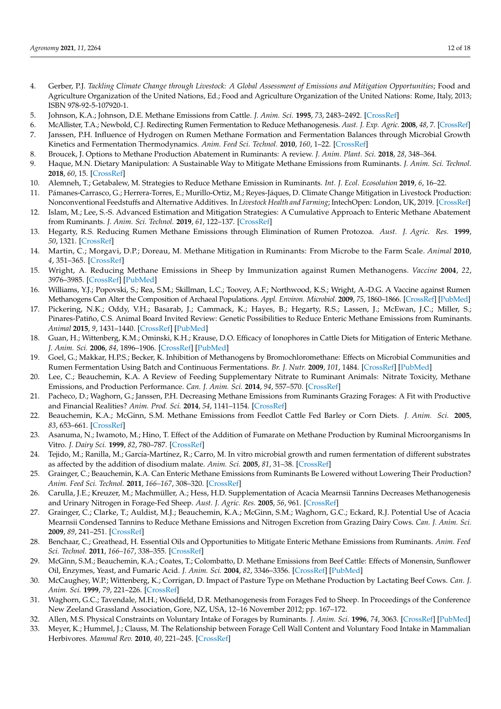- <span id="page-11-0"></span>4. Gerber, P.J. *Tackling Climate Change through Livestock: A Global Assessment of Emissions and Mitigation Opportunities*; Food and Agriculture Organization of the United Nations, Ed.; Food and Agriculture Organization of the United Nations: Rome, Italy, 2013; ISBN 978-92-5-107920-1.
- <span id="page-11-1"></span>5. Johnson, K.A.; Johnson, D.E. Methane Emissions from Cattle. *J. Anim. Sci.* **1995**, *73*, 2483–2492. [\[CrossRef\]](http://doi.org/10.2527/1995.7382483x)
- <span id="page-11-2"></span>6. McAllister, T.A.; Newbold, C.J. Redirecting Rumen Fermentation to Reduce Methanogenesis. *Aust. J. Exp. Agric.* **2008**, *48*, 7. [\[CrossRef\]](http://doi.org/10.1071/EA07218)
- <span id="page-11-3"></span>7. Janssen, P.H. Influence of Hydrogen on Rumen Methane Formation and Fermentation Balances through Microbial Growth Kinetics and Fermentation Thermodynamics. *Anim. Feed Sci. Technol.* **2010**, *160*, 1–22. [\[CrossRef\]](http://doi.org/10.1016/j.anifeedsci.2010.07.002)
- <span id="page-11-4"></span>8. Broucek, J. Options to Methane Production Abatement in Ruminants: A review. *J. Anim. Plant. Sci.* **2018**, *28*, 348–364.
- 9. Haque, M.N. Dietary Manipulation: A Sustainable Way to Mitigate Methane Emissions from Ruminants. *J. Anim. Sci. Technol.* **2018**, *60*, 15. [\[CrossRef\]](http://doi.org/10.1186/s40781-018-0175-7)
- 10. Alemneh, T.; Getabalew, M. Strategies to Reduce Methane Emission in Ruminants. *Int. J. Ecol. Ecosolution* **2019**, *6*, 16–22.
- 11. Pámanes-Carrasco, G.; Herrera-Torres, E.; Murillo-Ortiz, M.; Reyes-Jáques, D. Climate Change Mitigation in Livestock Production: Nonconventional Feedstuffs and Alternative Additives. In *Livestock Health and Farming*; IntechOpen: London, UK, 2019. [\[CrossRef\]](http://doi.org/10.5772/intechopen.89433)
- <span id="page-11-5"></span>12. Islam, M.; Lee, S.-S. Advanced Estimation and Mitigation Strategies: A Cumulative Approach to Enteric Methane Abatement from Ruminants. *J. Anim. Sci. Technol.* **2019**, *61*, 122–137. [\[CrossRef\]](http://doi.org/10.5187/jast.2019.61.3.122)
- <span id="page-11-6"></span>13. Hegarty, R.S. Reducing Rumen Methane Emissions through Elimination of Rumen Protozoa. *Aust. J. Agric. Res.* **1999**, *50*, 1321. [\[CrossRef\]](http://doi.org/10.1071/AR99008)
- <span id="page-11-7"></span>14. Martin, C.; Morgavi, D.P.; Doreau, M. Methane Mitigation in Ruminants: From Microbe to the Farm Scale. *Animal* **2010**, *4*, 351–365. [\[CrossRef\]](http://doi.org/10.1017/S1751731109990620)
- <span id="page-11-8"></span>15. Wright, A. Reducing Methane Emissions in Sheep by Immunization against Rumen Methanogens. *Vaccine* **2004**, *22*, 3976–3985. [\[CrossRef\]](http://doi.org/10.1016/j.vaccine.2004.03.053) [\[PubMed\]](http://www.ncbi.nlm.nih.gov/pubmed/15364447)
- <span id="page-11-9"></span>16. Williams, Y.J.; Popovski, S.; Rea, S.M.; Skillman, L.C.; Toovey, A.F.; Northwood, K.S.; Wright, A.-D.G. A Vaccine against Rumen Methanogens Can Alter the Composition of Archaeal Populations. *Appl. Environ. Microbiol.* **2009**, *75*, 1860–1866. [\[CrossRef\]](http://doi.org/10.1128/AEM.02453-08) [\[PubMed\]](http://www.ncbi.nlm.nih.gov/pubmed/19201957)
- <span id="page-11-10"></span>17. Pickering, N.K.; Oddy, V.H.; Basarab, J.; Cammack, K.; Hayes, B.; Hegarty, R.S.; Lassen, J.; McEwan, J.C.; Miller, S.; Pinares-Patiño, C.S. Animal Board Invited Review: Genetic Possibilities to Reduce Enteric Methane Emissions from Ruminants. *Animal* **2015**, *9*, 1431–1440. [\[CrossRef\]](http://doi.org/10.1017/S1751731115000968) [\[PubMed\]](http://www.ncbi.nlm.nih.gov/pubmed/26055577)
- <span id="page-11-11"></span>18. Guan, H.; Wittenberg, K.M.; Ominski, K.H.; Krause, D.O. Efficacy of Ionophores in Cattle Diets for Mitigation of Enteric Methane. *J. Anim. Sci.* **2006**, *84*, 1896–1906. [\[CrossRef\]](http://doi.org/10.2527/jas.2005-652) [\[PubMed\]](http://www.ncbi.nlm.nih.gov/pubmed/16775074)
- <span id="page-11-12"></span>19. Goel, G.; Makkar, H.P.S.; Becker, K. Inhibition of Methanogens by Bromochloromethane: Effects on Microbial Communities and Rumen Fermentation Using Batch and Continuous Fermentations. *Br. J. Nutr.* **2009**, *101*, 1484. [\[CrossRef\]](http://doi.org/10.1017/S0007114508076198) [\[PubMed\]](http://www.ncbi.nlm.nih.gov/pubmed/19243639)
- <span id="page-11-13"></span>20. Lee, C.; Beauchemin, K.A. A Review of Feeding Supplementary Nitrate to Ruminant Animals: Nitrate Toxicity, Methane Emissions, and Production Performance. *Can. J. Anim. Sci.* **2014**, *94*, 557–570. [\[CrossRef\]](http://doi.org/10.4141/cjas-2014-069)
- <span id="page-11-14"></span>21. Pacheco, D.; Waghorn, G.; Janssen, P.H. Decreasing Methane Emissions from Ruminants Grazing Forages: A Fit with Productive and Financial Realities? *Anim. Prod. Sci.* **2014**, *54*, 1141–1154. [\[CrossRef\]](http://doi.org/10.1071/AN14437)
- <span id="page-11-15"></span>22. Beauchemin, K.A.; McGinn, S.M. Methane Emissions from Feedlot Cattle Fed Barley or Corn Diets. *J. Anim. Sci.* **2005**, *83*, 653–661. [\[CrossRef\]](http://doi.org/10.2527/2005.833653x)
- <span id="page-11-16"></span>23. Asanuma, N.; Iwamoto, M.; Hino, T. Effect of the Addition of Fumarate on Methane Production by Ruminal Microorganisms In Vitro. *J. Dairy Sci.* **1999**, *82*, 780–787. [\[CrossRef\]](http://doi.org/10.3168/jds.S0022-0302(99)75296-3)
- <span id="page-11-17"></span>24. Tejido, M.; Ranilla, M.; García-Martínez, R.; Carro, M. In vitro microbial growth and rumen fermentation of different substrates as affected by the addition of disodium malate. *Anim. Sci.* **2005**, *81*, 31–38. [\[CrossRef\]](http://doi.org/10.1079/ASC42060031)
- <span id="page-11-18"></span>25. Grainger, C.; Beauchemin, K.A. Can Enteric Methane Emissions from Ruminants Be Lowered without Lowering Their Production? *Anim. Feed Sci. Technol.* **2011**, *166–167*, 308–320. [\[CrossRef\]](http://doi.org/10.1016/j.anifeedsci.2011.04.021)
- <span id="page-11-19"></span>26. Carulla, J.E.; Kreuzer, M.; Machmüller, A.; Hess, H.D. Supplementation of Acacia Mearnsii Tannins Decreases Methanogenesis and Urinary Nitrogen in Forage-Fed Sheep. *Aust. J. Agric. Res.* **2005**, *56*, 961. [\[CrossRef\]](http://doi.org/10.1071/AR05022)
- <span id="page-11-20"></span>27. Grainger, C.; Clarke, T.; Auldist, M.J.; Beauchemin, K.A.; McGinn, S.M.; Waghorn, G.C.; Eckard, R.J. Potential Use of Acacia Mearnsii Condensed Tannins to Reduce Methane Emissions and Nitrogen Excretion from Grazing Dairy Cows. *Can. J. Anim. Sci.* **2009**, *89*, 241–251. [\[CrossRef\]](http://doi.org/10.4141/CJAS08110)
- <span id="page-11-21"></span>28. Benchaar, C.; Greathead, H. Essential Oils and Opportunities to Mitigate Enteric Methane Emissions from Ruminants. *Anim. Feed Sci. Technol.* **2011**, *166–167*, 338–355. [\[CrossRef\]](http://doi.org/10.1016/j.anifeedsci.2011.04.024)
- <span id="page-11-22"></span>29. McGinn, S.M.; Beauchemin, K.A.; Coates, T.; Colombatto, D. Methane Emissions from Beef Cattle: Effects of Monensin, Sunflower Oil, Enzymes, Yeast, and Fumaric Acid. *J. Anim. Sci.* **2004**, *82*, 3346–3356. [\[CrossRef\]](http://doi.org/10.2527/2004.82113346x) [\[PubMed\]](http://www.ncbi.nlm.nih.gov/pubmed/15542482)
- <span id="page-11-23"></span>30. McCaughey, W.P.; Wittenberg, K.; Corrigan, D. Impact of Pasture Type on Methane Production by Lactating Beef Cows. *Can. J. Anim. Sci.* **1999**, *79*, 221–226. [\[CrossRef\]](http://doi.org/10.4141/A98-107)
- <span id="page-11-24"></span>31. Waghorn, G.C.; Tavendale, M.H.; Woodfield, D.R. Methanogenesis from Forages Fed to Sheep. In Proceedings of the Conference New Zeeland Grassland Association, Gore, NZ, USA, 12–16 November 2012; pp. 167–172.
- <span id="page-11-25"></span>32. Allen, M.S. Physical Constraints on Voluntary Intake of Forages by Ruminants. *J. Anim. Sci.* **1996**, *74*, 3063. [\[CrossRef\]](http://doi.org/10.2527/1996.74123063x) [\[PubMed\]](http://www.ncbi.nlm.nih.gov/pubmed/8994921)
- <span id="page-11-26"></span>33. Meyer, K.; Hummel, J.; Clauss, M. The Relationship between Forage Cell Wall Content and Voluntary Food Intake in Mammalian Herbivores. *Mammal Rev.* **2010**, *40*, 221–245. [\[CrossRef\]](http://doi.org/10.1111/j.1365-2907.2010.00161.x)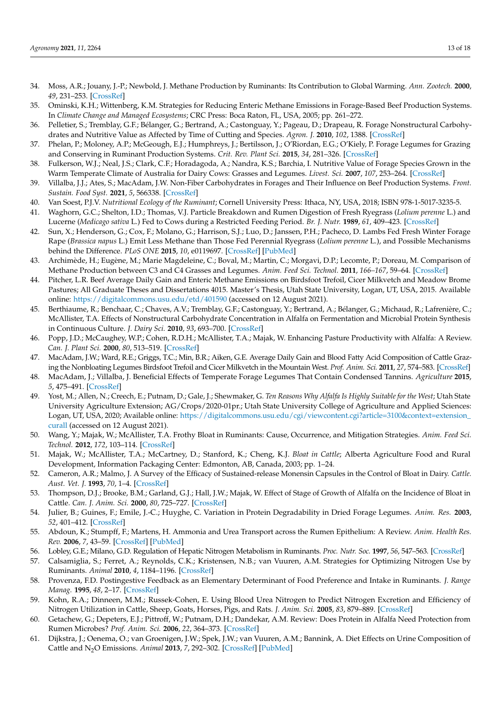- <span id="page-12-0"></span>34. Moss, A.R.; Jouany, J.-P.; Newbold, J. Methane Production by Ruminants: Its Contribution to Global Warming. *Ann. Zootech.* **2000**, *49*, 231–253. [\[CrossRef\]](http://doi.org/10.1051/animres:2000119)
- <span id="page-12-1"></span>35. Ominski, K.H.; Wittenberg, K.M. Strategies for Reducing Enteric Methane Emissions in Forage-Based Beef Production Systems. In *Climate Change and Managed Ecosystems*; CRC Press: Boca Raton, FL, USA, 2005; pp. 261–272.
- <span id="page-12-2"></span>36. Pelletier, S.; Tremblay, G.F.; Bélanger, G.; Bertrand, A.; Castonguay, Y.; Pageau, D.; Drapeau, R. Forage Nonstructural Carbohydrates and Nutritive Value as Affected by Time of Cutting and Species. *Agron. J.* **2010**, *102*, 1388. [\[CrossRef\]](http://doi.org/10.2134/agronj2010.0158)
- <span id="page-12-3"></span>37. Phelan, P.; Moloney, A.P.; McGeough, E.J.; Humphreys, J.; Bertilsson, J.; O'Riordan, E.G.; O'Kiely, P. Forage Legumes for Grazing and Conserving in Ruminant Production Systems. *Crit. Rev. Plant Sci.* **2015**, *34*, 281–326. [\[CrossRef\]](http://doi.org/10.1080/07352689.2014.898455)
- <span id="page-12-4"></span>38. Fulkerson, W.J.; Neal, J.S.; Clark, C.F.; Horadagoda, A.; Nandra, K.S.; Barchia, I. Nutritive Value of Forage Species Grown in the Warm Temperate Climate of Australia for Dairy Cows: Grasses and Legumes. *Livest. Sci.* **2007**, *107*, 253–264. [\[CrossRef\]](http://doi.org/10.1016/j.livsci.2006.09.029)
- <span id="page-12-5"></span>39. Villalba, J.J.; Ates, S.; MacAdam, J.W. Non-Fiber Carbohydrates in Forages and Their Influence on Beef Production Systems. *Front. Sustain. Food Syst.* **2021**, *5*, 566338. [\[CrossRef\]](http://doi.org/10.3389/fsufs.2021.566338)
- <span id="page-12-6"></span>40. Van Soest, P.J.V. *Nutritional Ecology of the Ruminant*; Cornell University Press: Ithaca, NY, USA, 2018; ISBN 978-1-5017-3235-5.
- <span id="page-12-7"></span>41. Waghorn, G.C.; Shelton, I.D.; Thomas, V.J. Particle Breakdown and Rumen Digestion of Fresh Ryegrass (*Lolium perenne* L.) and Lucerne (*Medicago sativa* L.) Fed to Cows during a Restricted Feeding Period. *Br. J. Nutr.* **1989**, *61*, 409–423. [\[CrossRef\]](http://doi.org/10.1079/BJN19890127)
- <span id="page-12-8"></span>42. Sun, X.; Henderson, G.; Cox, F.; Molano, G.; Harrison, S.J.; Luo, D.; Janssen, P.H.; Pacheco, D. Lambs Fed Fresh Winter Forage Rape (*Brassica napus* L.) Emit Less Methane than Those Fed Perennial Ryegrass (*Lolium perenne* L.), and Possible Mechanisms behind the Difference. *PLoS ONE* **2015**, *10*, e0119697. [\[CrossRef\]](http://doi.org/10.1371/journal.pone.0119697) [\[PubMed\]](http://www.ncbi.nlm.nih.gov/pubmed/25803688)
- <span id="page-12-9"></span>43. Archimède, H.; Eugène, M.; Marie Magdeleine, C.; Boval, M.; Martin, C.; Morgavi, D.P.; Lecomte, P.; Doreau, M. Comparison of Methane Production between C3 and C4 Grasses and Legumes. *Anim. Feed Sci. Technol.* **2011**, *166–167*, 59–64. [\[CrossRef\]](http://doi.org/10.1016/j.anifeedsci.2011.04.003)
- <span id="page-12-10"></span>44. Pitcher, L.R. Beef Average Daily Gain and Enteric Methane Emissions on Birdsfoot Trefoil, Cicer Milkvetch and Meadow Brome Pastures; All Graduate Theses and Dissertations 4015. Master's Thesis, Utah State University, Logan, UT, USA, 2015. Available online: <https://digitalcommons.usu.edu/etd/401590> (accessed on 12 August 2021).
- <span id="page-12-11"></span>45. Berthiaume, R.; Benchaar, C.; Chaves, A.V.; Tremblay, G.F.; Castonguay, Y.; Bertrand, A.; Bélanger, G.; Michaud, R.; Lafrenière, C.; McAllister, T.A. Effects of Nonstructural Carbohydrate Concentration in Alfalfa on Fermentation and Microbial Protein Synthesis in Continuous Culture. *J. Dairy Sci.* **2010**, *93*, 693–700. [\[CrossRef\]](http://doi.org/10.3168/jds.2009-2399)
- <span id="page-12-12"></span>46. Popp, J.D.; McCaughey, W.P.; Cohen, R.D.H.; McAllister, T.A.; Majak, W. Enhancing Pasture Productivity with Alfalfa: A Review. *Can. J. Plant Sci.* **2000**, *80*, 513–519. [\[CrossRef\]](http://doi.org/10.4141/P99-049)
- 47. MacAdam, J.W.; Ward, R.E.; Griggs, T.C.; Min, B.R.; Aiken, G.E. Average Daily Gain and Blood Fatty Acid Composition of Cattle Grazing the Nonbloating Legumes Birdsfoot Trefoil and Cicer Milkvetch in the Mountain West. *Prof. Anim. Sci.* **2011**, *27*, 574–583. [\[CrossRef\]](http://doi.org/10.15232/S1080-7446(15)30542-8)
- <span id="page-12-13"></span>48. MacAdam, J.; Villalba, J. Beneficial Effects of Temperate Forage Legumes That Contain Condensed Tannins. *Agriculture* **2015**, *5*, 475–491. [\[CrossRef\]](http://doi.org/10.3390/agriculture5030475)
- <span id="page-12-14"></span>49. Yost, M.; Allen, N.; Creech, E.; Putnam, D.; Gale, J.; Shewmaker, G. *Ten Reasons Why Alfalfa Is Highly Suitable for the West*; Utah State University Agriculture Extension; AG/Crops/2020-01pr.; Utah State University College of Agriculture and Applied Sciences: Logan, UT, USA, 2020; Available online: [https://digitalcommons.usu.edu/cgi/viewcontent.cgi?article=3100&context=extension\\_](https://digitalcommons.usu.edu/cgi/viewcontent.cgi?article=3100&context=extension_curall) [curall](https://digitalcommons.usu.edu/cgi/viewcontent.cgi?article=3100&context=extension_curall) (accessed on 12 August 2021).
- <span id="page-12-15"></span>50. Wang, Y.; Majak, W.; McAllister, T.A. Frothy Bloat in Ruminants: Cause, Occurrence, and Mitigation Strategies. *Anim. Feed Sci. Technol.* **2012**, *172*, 103–114. [\[CrossRef\]](http://doi.org/10.1016/j.anifeedsci.2011.12.012)
- <span id="page-12-16"></span>51. Majak, W.; McAllister, T.A.; McCartney, D.; Stanford, K.; Cheng, K.J. *Bloat in Cattle*; Alberta Agriculture Food and Rural Development, Information Packaging Center: Edmonton, AB, Canada, 2003; pp. 1–24.
- <span id="page-12-17"></span>52. Cameron, A.R.; Malmo, J. A Survey of the Efficacy of Sustained-release Monensin Capsules in the Control of Bloat in Dairy. *Cattle. Aust. Vet. J.* **1993**, *70*, 1–4. [\[CrossRef\]](http://doi.org/10.1111/j.1751-0813.1993.tb00783.x)
- <span id="page-12-18"></span>53. Thompson, D.J.; Brooke, B.M.; Garland, G.J.; Hall, J.W.; Majak, W. Effect of Stage of Growth of Alfalfa on the Incidence of Bloat in Cattle. *Can. J. Anim. Sci.* **2000**, *80*, 725–727. [\[CrossRef\]](http://doi.org/10.4141/A00-065)
- <span id="page-12-19"></span>54. Julier, B.; Guines, F.; Emile, J.-C.; Huyghe, C. Variation in Protein Degradability in Dried Forage Legumes. *Anim. Res.* **2003**, *52*, 401–412. [\[CrossRef\]](http://doi.org/10.1051/animres:2003029)
- <span id="page-12-20"></span>55. Abdoun, K.; Stumpff, F.; Martens, H. Ammonia and Urea Transport across the Rumen Epithelium: A Review. *Anim. Health Res. Rev.* **2006**, *7*, 43–59. [\[CrossRef\]](http://doi.org/10.1017/S1466252307001156) [\[PubMed\]](http://www.ncbi.nlm.nih.gov/pubmed/17389053)
- <span id="page-12-21"></span>56. Lobley, G.E.; Milano, G.D. Regulation of Hepatic Nitrogen Metabolism in Ruminants. *Proc. Nutr. Soc.* **1997**, *56*, 547–563. [\[CrossRef\]](http://doi.org/10.1079/PNS19970057)
- <span id="page-12-22"></span>57. Calsamiglia, S.; Ferret, A.; Reynolds, C.K.; Kristensen, N.B.; van Vuuren, A.M. Strategies for Optimizing Nitrogen Use by Ruminants. *Animal* **2010**, *4*, 1184–1196. [\[CrossRef\]](http://doi.org/10.1017/S1751731110000911)
- <span id="page-12-23"></span>58. Provenza, F.D. Postingestive Feedback as an Elementary Determinant of Food Preference and Intake in Ruminants. *J. Range Manag.* **1995**, *48*, 2–17. [\[CrossRef\]](http://doi.org/10.2307/4002498)
- <span id="page-12-24"></span>59. Kohn, R.A.; Dinneen, M.M.; Russek-Cohen, E. Using Blood Urea Nitrogen to Predict Nitrogen Excretion and Efficiency of Nitrogen Utilization in Cattle, Sheep, Goats, Horses, Pigs, and Rats. *J. Anim. Sci.* **2005**, *83*, 879–889. [\[CrossRef\]](http://doi.org/10.2527/2005.834879x)
- <span id="page-12-25"></span>60. Getachew, G.; Depeters, E.J.; Pittroff, W.; Putnam, D.H.; Dandekar, A.M. Review: Does Protein in Alfalfa Need Protection from Rumen Microbes? *Prof. Anim. Sci.* **2006**, *22*, 364–373. [\[CrossRef\]](http://doi.org/10.15232/S1080-7446(15)31129-3)
- <span id="page-12-26"></span>61. Dijkstra, J.; Oenema, O.; van Groenigen, J.W.; Spek, J.W.; van Vuuren, A.M.; Bannink, A. Diet Effects on Urine Composition of Cattle and N2O Emissions. *Animal* **2013**, *7*, 292–302. [\[CrossRef\]](http://doi.org/10.1017/S1751731113000578) [\[PubMed\]](http://www.ncbi.nlm.nih.gov/pubmed/23739471)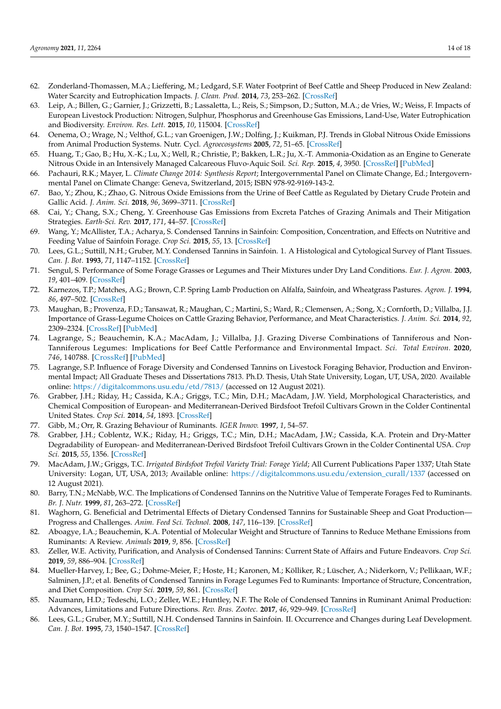- <span id="page-13-0"></span>62. Zonderland-Thomassen, M.A.; Lieffering, M.; Ledgard, S.F. Water Footprint of Beef Cattle and Sheep Produced in New Zealand: Water Scarcity and Eutrophication Impacts. *J. Clean. Prod.* **2014**, *73*, 253–262. [\[CrossRef\]](http://doi.org/10.1016/j.jclepro.2013.12.025)
- <span id="page-13-1"></span>63. Leip, A.; Billen, G.; Garnier, J.; Grizzetti, B.; Lassaletta, L.; Reis, S.; Simpson, D.; Sutton, M.A.; de Vries, W.; Weiss, F. Impacts of European Livestock Production: Nitrogen, Sulphur, Phosphorus and Greenhouse Gas Emissions, Land-Use, Water Eutrophication and Biodiversity. *Environ. Res. Lett.* **2015**, *10*, 115004. [\[CrossRef\]](http://doi.org/10.1088/1748-9326/10/11/115004)
- <span id="page-13-2"></span>64. Oenema, O.; Wrage, N.; Velthof, G.L.; van Groenigen, J.W.; Dolfing, J.; Kuikman, P.J. Trends in Global Nitrous Oxide Emissions from Animal Production Systems. Nutr. Cycl. *Agroecosystems* **2005**, *72*, 51–65. [\[CrossRef\]](http://doi.org/10.1007/s10705-004-7354-2)
- <span id="page-13-3"></span>65. Huang, T.; Gao, B.; Hu, X.-K.; Lu, X.; Well, R.; Christie, P.; Bakken, L.R.; Ju, X.-T. Ammonia-Oxidation as an Engine to Generate Nitrous Oxide in an Intensively Managed Calcareous Fluvo-Aquic Soil. *Sci. Rep.* **2015**, *4*, 3950. [\[CrossRef\]](http://doi.org/10.1038/srep03950) [\[PubMed\]](http://www.ncbi.nlm.nih.gov/pubmed/24492201)
- <span id="page-13-4"></span>66. Pachauri, R.K.; Mayer, L. *Climate Change 2014: Synthesis Report*; Intergovernmental Panel on Climate Change, Ed.; Intergovernmental Panel on Climate Change: Geneva, Switzerland, 2015; ISBN 978-92-9169-143-2.
- <span id="page-13-5"></span>67. Bao, Y.; Zhou, K.; Zhao, G. Nitrous Oxide Emissions from the Urine of Beef Cattle as Regulated by Dietary Crude Protein and Gallic Acid. *J. Anim. Sci.* **2018**, *96*, 3699–3711. [\[CrossRef\]](http://doi.org/10.1093/jas/sky252)
- <span id="page-13-6"></span>68. Cai, Y.; Chang, S.X.; Cheng, Y. Greenhouse Gas Emissions from Excreta Patches of Grazing Animals and Their Mitigation Strategies. *Earth-Sci. Rev.* **2017**, *171*, 44–57. [\[CrossRef\]](http://doi.org/10.1016/j.earscirev.2017.05.013)
- <span id="page-13-7"></span>69. Wang, Y.; McAllister, T.A.; Acharya, S. Condensed Tannins in Sainfoin: Composition, Concentration, and Effects on Nutritive and Feeding Value of Sainfoin Forage. *Crop Sci.* **2015**, *55*, 13. [\[CrossRef\]](http://doi.org/10.2135/cropsci2014.07.0489)
- <span id="page-13-8"></span>70. Lees, G.L.; Suttill, N.H.; Gruber, M.Y. Condensed Tannins in Sainfoin. 1. A Histological and Cytological Survey of Plant Tissues. *Can. J. Bot.* **1993**, *71*, 1147–1152. [\[CrossRef\]](http://doi.org/10.1139/b93-135)
- <span id="page-13-9"></span>71. Sengul, S. Performance of Some Forage Grasses or Legumes and Their Mixtures under Dry Land Conditions. *Eur. J. Agron.* **2003**, *19*, 401–409. [\[CrossRef\]](http://doi.org/10.1016/S1161-0301(02)00132-6)
- <span id="page-13-10"></span>72. Karnezos, T.P.; Matches, A.G.; Brown, C.P. Spring Lamb Production on Alfalfa, Sainfoin, and Wheatgrass Pastures. *Agron. J.* **1994**, *86*, 497–502. [\[CrossRef\]](http://doi.org/10.2134/agronj1994.00021962008600030008x)
- <span id="page-13-24"></span>73. Maughan, B.; Provenza, F.D.; Tansawat, R.; Maughan, C.; Martini, S.; Ward, R.; Clemensen, A.; Song, X.; Cornforth, D.; Villalba, J.J. Importance of Grass-Legume Choices on Cattle Grazing Behavior, Performance, and Meat Characteristics. *J. Anim. Sci.* **2014**, *92*, 2309–2324. [\[CrossRef\]](http://doi.org/10.2527/jas.2013-7297) [\[PubMed\]](http://www.ncbi.nlm.nih.gov/pubmed/24671584)
- <span id="page-13-11"></span>74. Lagrange, S.; Beauchemin, K.A.; MacAdam, J.; Villalba, J.J. Grazing Diverse Combinations of Tanniferous and Non-Tanniferous Legumes: Implications for Beef Cattle Performance and Environmental Impact. *Sci. Total Environ.* **2020**, *746*, 140788. [\[CrossRef\]](http://doi.org/10.1016/j.scitotenv.2020.140788) [\[PubMed\]](http://www.ncbi.nlm.nih.gov/pubmed/32758982)
- <span id="page-13-12"></span>75. Lagrange, S.P. Influence of Forage Diversity and Condensed Tannins on Livestock Foraging Behavior, Production and Environmental Impact; All Graduate Theses and Dissertations 7813. Ph.D. Thesis, Utah State University, Logan, UT, USA, 2020. Available online: <https://digitalcommons.usu.edu/etd/7813/> (accessed on 12 August 2021).
- <span id="page-13-13"></span>76. Grabber, J.H.; Riday, H.; Cassida, K.A.; Griggs, T.C.; Min, D.H.; MacAdam, J.W. Yield, Morphological Characteristics, and Chemical Composition of European- and Mediterranean-Derived Birdsfoot Trefoil Cultivars Grown in the Colder Continental United States. *Crop Sci.* **2014**, *54*, 1893. [\[CrossRef\]](http://doi.org/10.2135/cropsci2013.09.0644)
- <span id="page-13-14"></span>77. Gibb, M.; Orr, R. Grazing Behaviour of Ruminants. *IGER Innov.* **1997**, *1*, 54–57.
- <span id="page-13-15"></span>78. Grabber, J.H.; Coblentz, W.K.; Riday, H.; Griggs, T.C.; Min, D.H.; MacAdam, J.W.; Cassida, K.A. Protein and Dry-Matter Degradability of European- and Mediterranean-Derived Birdsfoot Trefoil Cultivars Grown in the Colder Continental USA. *Crop Sci.* **2015**, *55*, 1356. [\[CrossRef\]](http://doi.org/10.2135/cropsci2014.09.0659)
- <span id="page-13-16"></span>79. MacAdam, J.W.; Griggs, T.C. *Irrigated Birdsfoot Trefoil Variety Trial: Forage Yield*; All Current Publications Paper 1337; Utah State University: Logan, UT, USA, 2013; Available online: [https://digitalcommons.usu.edu/extension\\_curall/1337](https://digitalcommons.usu.edu/extension_curall/1337) (accessed on 12 August 2021).
- <span id="page-13-17"></span>80. Barry, T.N.; McNabb, W.C. The Implications of Condensed Tannins on the Nutritive Value of Temperate Forages Fed to Ruminants. *Br. J. Nutr.* **1999**, *81*, 263–272. [\[CrossRef\]](http://doi.org/10.1017/S0007114599000501)
- <span id="page-13-18"></span>81. Waghorn, G. Beneficial and Detrimental Effects of Dietary Condensed Tannins for Sustainable Sheep and Goat Production— Progress and Challenges. *Anim. Feed Sci. Technol.* **2008**, *147*, 116–139. [\[CrossRef\]](http://doi.org/10.1016/j.anifeedsci.2007.09.013)
- <span id="page-13-19"></span>82. Aboagye, I.A.; Beauchemin, K.A. Potential of Molecular Weight and Structure of Tannins to Reduce Methane Emissions from Ruminants: A Review. *Animals* **2019**, *9*, 856. [\[CrossRef\]](http://doi.org/10.3390/ani9110856)
- <span id="page-13-20"></span>83. Zeller, W.E. Activity, Purification, and Analysis of Condensed Tannins: Current State of Affairs and Future Endeavors. *Crop Sci.* **2019**, *59*, 886–904. [\[CrossRef\]](http://doi.org/10.2135/cropsci2018.05.0323)
- <span id="page-13-21"></span>84. Mueller-Harvey, I.; Bee, G.; Dohme-Meier, F.; Hoste, H.; Karonen, M.; Kölliker, R.; Lüscher, A.; Niderkorn, V.; Pellikaan, W.F.; Salminen, J.P.; et al. Benefits of Condensed Tannins in Forage Legumes Fed to Ruminants: Importance of Structure, Concentration, and Diet Composition. *Crop Sci.* **2019**, *59*, 861. [\[CrossRef\]](http://doi.org/10.2135/cropsci2017.06.0369)
- <span id="page-13-22"></span>85. Naumann, H.D.; Tedeschi, L.O.; Zeller, W.E.; Huntley, N.F. The Role of Condensed Tannins in Ruminant Animal Production: Advances, Limitations and Future Directions. *Rev. Bras. Zootec.* **2017**, *46*, 929–949. [\[CrossRef\]](http://doi.org/10.1590/s1806-92902017001200009)
- <span id="page-13-23"></span>86. Lees, G.L.; Gruber, M.Y.; Suttill, N.H. Condensed Tannins in Sainfoin. II. Occurrence and Changes during Leaf Development. *Can. J. Bot.* **1995**, *73*, 1540–1547. [\[CrossRef\]](http://doi.org/10.1139/b95-167)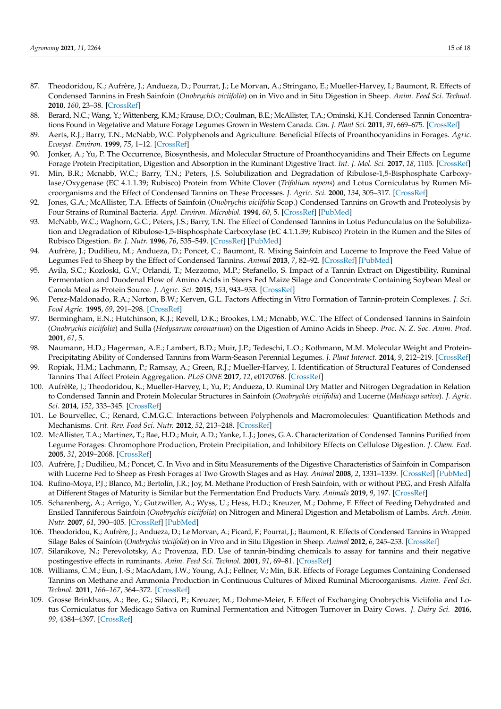- <span id="page-14-0"></span>87. Theodoridou, K.; Aufrère, J.; Andueza, D.; Pourrat, J.; Le Morvan, A.; Stringano, E.; Mueller-Harvey, I.; Baumont, R. Effects of Condensed Tannins in Fresh Sainfoin (*Onobrychis viciifolia*) on in Vivo and in Situ Digestion in Sheep. *Anim. Feed Sci. Technol.* **2010**, *160*, 23–38. [\[CrossRef\]](http://doi.org/10.1016/j.anifeedsci.2010.06.007)
- <span id="page-14-1"></span>88. Berard, N.C.; Wang, Y.; Wittenberg, K.M.; Krause, D.O.; Coulman, B.E.; McAllister, T.A.; Ominski, K.H. Condensed Tannin Concentrations Found in Vegetative and Mature Forage Legumes Grown in Western Canada. *Can. J. Plant Sci.* **2011**, *91*, 669–675. [\[CrossRef\]](http://doi.org/10.4141/cjps10153)
- <span id="page-14-2"></span>89. Aerts, R.J.; Barry, T.N.; McNabb, W.C. Polyphenols and Agriculture: Beneficial Effects of Proanthocyanidins in Forages. *Agric. Ecosyst. Environ.* **1999**, *75*, 1–12. [\[CrossRef\]](http://doi.org/10.1016/S0167-8809(99)00062-6)
- <span id="page-14-3"></span>90. Jonker, A.; Yu, P. The Occurrence, Biosynthesis, and Molecular Structure of Proanthocyanidins and Their Effects on Legume Forage Protein Precipitation, Digestion and Absorption in the Ruminant Digestive Tract. *Int. J. Mol. Sci.* **2017**, *18*, 1105. [\[CrossRef\]](http://doi.org/10.3390/ijms18051105)
- <span id="page-14-4"></span>91. Min, B.R.; Mcnabb, W.C.; Barry, T.N.; Peters, J.S. Solubilization and Degradation of Ribulose-1,5-Bisphosphate Carboxylase/Oxygenase (EC 4.1.1.39; Rubisco) Protein from White Clover (*Trifolium repens*) and Lotus Corniculatus by Rumen Microorganisms and the Effect of Condensed Tannins on These Processes. *J. Agric. Sci.* **2000**, *134*, 305–317. [\[CrossRef\]](http://doi.org/10.1017/S0021859699007698)
- <span id="page-14-5"></span>92. Jones, G.A.; McAllister, T.A. Effects of Sainfoin (*Onobrychis viciifolia* Scop.) Condensed Tannins on Growth and Proteolysis by Four Strains of Ruminal Bacteria. *Appl. Environ. Microbiol.* **1994**, *60*, 5. [\[CrossRef\]](http://doi.org/10.1128/aem.60.4.1374-1378.1994) [\[PubMed\]](http://www.ncbi.nlm.nih.gov/pubmed/16349244)
- <span id="page-14-6"></span>93. McNabb, W.C.; Waghorn, G.C.; Peters, J.S.; Barry, T.N. The Effect of Condensed Tannins in Lotus Pedunculatus on the Solubilization and Degradation of Ribulose-1,5-Bisphosphate Carboxylase (EC 4.1.1.39; Rubisco) Protein in the Rumen and the Sites of Rubisco Digestion. *Br. J. Nutr.* **1996**, *76*, 535–549. [\[CrossRef\]](http://doi.org/10.1079/BJN19960061) [\[PubMed\]](http://www.ncbi.nlm.nih.gov/pubmed/8942361)
- <span id="page-14-22"></span>94. Aufrère, J.; Dudilieu, M.; Andueza, D.; Poncet, C.; Baumont, R. Mixing Sainfoin and Lucerne to Improve the Feed Value of Legumes Fed to Sheep by the Effect of Condensed Tannins. *Animal* **2013**, *7*, 82–92. [\[CrossRef\]](http://doi.org/10.1017/S1751731112001097) [\[PubMed\]](http://www.ncbi.nlm.nih.gov/pubmed/23031182)
- <span id="page-14-7"></span>95. Avila, S.C.; Kozloski, G.V.; Orlandi, T.; Mezzomo, M.P.; Stefanello, S. Impact of a Tannin Extract on Digestibility, Ruminal Fermentation and Duodenal Flow of Amino Acids in Steers Fed Maize Silage and Concentrate Containing Soybean Meal or Canola Meal as Protein Source. *J. Agric. Sci.* **2015**, *153*, 943–953. [\[CrossRef\]](http://doi.org/10.1017/S0021859615000064)
- <span id="page-14-8"></span>96. Perez-Maldonado, R.A.; Norton, B.W.; Kerven, G.L. Factors Affecting in Vitro Formation of Tannin-protein Complexes. *J. Sci. Food Agric.* **1995**, *69*, 291–298. [\[CrossRef\]](http://doi.org/10.1002/jsfa.2740690305)
- <span id="page-14-9"></span>97. Bermingham, E.N.; Hutchinson, K.J.; Revell, D.K.; Brookes, I.M.; Mcnabb, W.C. The Effect of Condensed Tannins in Sainfoin (*Onobrychis viciifolia*) and Sulla (*Hedysarum coronarium*) on the Digestion of Amino Acids in Sheep. *Proc. N. Z. Soc. Anim. Prod.* **2001**, *61*, 5.
- <span id="page-14-10"></span>98. Naumann, H.D.; Hagerman, A.E.; Lambert, B.D.; Muir, J.P.; Tedeschi, L.O.; Kothmann, M.M. Molecular Weight and Protein-Precipitating Ability of Condensed Tannins from Warm-Season Perennial Legumes. *J. Plant Interact.* **2014**, *9*, 212–219. [\[CrossRef\]](http://doi.org/10.1080/17429145.2013.811547)
- <span id="page-14-11"></span>99. Ropiak, H.M.; Lachmann, P.; Ramsay, A.; Green, R.J.; Mueller-Harvey, I. Identification of Structural Features of Condensed Tannins That Affect Protein Aggregation. *PLoS ONE* **2017**, *12*, e0170768. [\[CrossRef\]](http://doi.org/10.1371/journal.pone.0170768)
- <span id="page-14-12"></span>100. AufrèRe, J.; Theodoridou, K.; Mueller-Harvey, I.; Yu, P.; Andueza, D. Ruminal Dry Matter and Nitrogen Degradation in Relation to Condensed Tannin and Protein Molecular Structures in Sainfoin (*Onobrychis viciifolia*) and Lucerne (*Medicago sativa*). *J. Agric. Sci.* **2014**, *152*, 333–345. [\[CrossRef\]](http://doi.org/10.1017/S0021859613000452)
- <span id="page-14-13"></span>101. Le Bourvellec, C.; Renard, C.M.G.C. Interactions between Polyphenols and Macromolecules: Quantification Methods and Mechanisms. *Crit. Rev. Food Sci. Nutr.* **2012**, *52*, 213–248. [\[CrossRef\]](http://doi.org/10.1080/10408398.2010.499808)
- <span id="page-14-14"></span>102. McAllister, T.A.; Martinez, T.; Bae, H.D.; Muir, A.D.; Yanke, L.J.; Jones, G.A. Characterization of Condensed Tannins Purified from Legume Forages: Chromophore Production, Protein Precipitation, and Inhibitory Effects on Cellulose Digestion. *J. Chem. Ecol.* **2005**, *31*, 2049–2068. [\[CrossRef\]](http://doi.org/10.1007/s10886-005-6077-4)
- <span id="page-14-15"></span>103. Aufrère, J.; Dudilieu, M.; Poncet, C. In Vivo and in Situ Measurements of the Digestive Characteristics of Sainfoin in Comparison with Lucerne Fed to Sheep as Fresh Forages at Two Growth Stages and as Hay. *Animal* **2008**, *2*, 1331–1339. [\[CrossRef\]](http://doi.org/10.1017/S1751731108002450) [\[PubMed\]](http://www.ncbi.nlm.nih.gov/pubmed/22443822)
- <span id="page-14-16"></span>104. Rufino-Moya, P.J.; Blanco, M.; Bertolín, J.R.; Joy, M. Methane Production of Fresh Sainfoin, with or without PEG, and Fresh Alfalfa at Different Stages of Maturity is Similar but the Fermentation End Products Vary. *Animals* **2019**, *9*, 197. [\[CrossRef\]](http://doi.org/10.3390/ani9050197)
- <span id="page-14-17"></span>105. Scharenberg, A.; Arrigo, Y.; Gutzwiller, A.; Wyss, U.; Hess, H.D.; Kreuzer, M.; Dohme, F. Effect of Feeding Dehydrated and Ensiled Tanniferous Sainfoin (*Onobrychis viciifolia*) on Nitrogen and Mineral Digestion and Metabolism of Lambs. *Arch. Anim. Nutr.* **2007**, *61*, 390–405. [\[CrossRef\]](http://doi.org/10.1080/17450390701565081) [\[PubMed\]](http://www.ncbi.nlm.nih.gov/pubmed/18030920)
- <span id="page-14-18"></span>106. Theodoridou, K.; Aufrère, J.; Andueza, D.; Le Morvan, A.; Picard, F.; Pourrat, J.; Baumont, R. Effects of Condensed Tannins in Wrapped Silage Bales of Sainfoin (*Onobrychis viciifolia*) on in Vivo and in Situ Digestion in Sheep. *Animal* **2012**, *6*, 245–253. [\[CrossRef\]](http://doi.org/10.1017/S1751731111001510)
- <span id="page-14-19"></span>107. Silanikove, N.; Perevolotsky, A.; Provenza, F.D. Use of tannin-binding chemicals to assay for tannins and their negative postingestive effects in ruminants. *Anim. Feed Sci. Technol.* **2001**, *91*, 69–81. [\[CrossRef\]](http://doi.org/10.1016/S0377-8401(01)00234-6)
- <span id="page-14-20"></span>108. Williams, C.M.; Eun, J.-S.; MacAdam, J.W.; Young, A.J.; Fellner, V.; Min, B.R. Effects of Forage Legumes Containing Condensed Tannins on Methane and Ammonia Production in Continuous Cultures of Mixed Ruminal Microorganisms. *Anim. Feed Sci. Technol.* **2011**, *166–167*, 364–372. [\[CrossRef\]](http://doi.org/10.1016/j.anifeedsci.2011.04.025)
- <span id="page-14-21"></span>109. Grosse Brinkhaus, A.; Bee, G.; Silacci, P.; Kreuzer, M.; Dohme-Meier, F. Effect of Exchanging Onobrychis Viciifolia and Lotus Corniculatus for Medicago Sativa on Ruminal Fermentation and Nitrogen Turnover in Dairy Cows. *J. Dairy Sci.* **2016**, *99*, 4384–4397. [\[CrossRef\]](http://doi.org/10.3168/jds.2015-9911)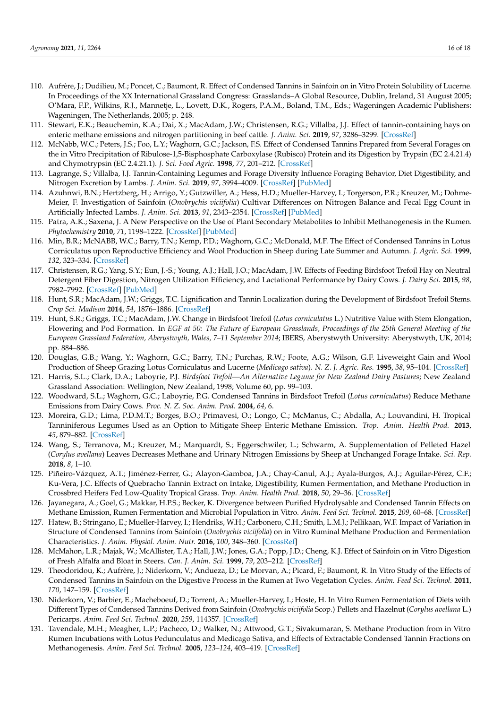- <span id="page-15-0"></span>110. Aufrère, J.; Dudilieu, M.; Poncet, C.; Baumont, R. Effect of Condensed Tannins in Sainfoin on in Vitro Protein Solubility of Lucerne. In Proceedings of the XX International Grassland Congress: Grasslands–A Global Resource, Dublin, Ireland, 31 August 2005; O'Mara, F.P., Wilkins, R.J., Mannetje, L., Lovett, D.K., Rogers, P.A.M., Boland, T.M., Eds.; Wageningen Academic Publishers: Wageningen, The Netherlands, 2005; p. 248.
- <span id="page-15-1"></span>111. Stewart, E.K.; Beauchemin, K.A.; Dai, X.; MacAdam, J.W.; Christensen, R.G.; Villalba, J.J. Effect of tannin-containing hays on enteric methane emissions and nitrogen partitioning in beef cattle. *J. Anim. Sci.* **2019**, *97*, 3286–3299. [\[CrossRef\]](http://doi.org/10.1093/jas/skz206)
- <span id="page-15-2"></span>112. McNabb, W.C.; Peters, J.S.; Foo, L.Y.; Waghorn, G.C.; Jackson, F.S. Effect of Condensed Tannins Prepared from Several Forages on the in Vitro Precipitation of Ribulose-1,5-Bisphosphate Carboxylase (Rubisco) Protein and its Digestion by Trypsin (EC 2.4.21.4) and Chymotrypsin (EC 2.4.21.1). *J. Sci. Food Agric.* **1998**, *77*, 201–212. [\[CrossRef\]](http://doi.org/10.1002/(SICI)1097-0010(199806)77:2<201::AID-JSFA26>3.0.CO;2-J)
- <span id="page-15-3"></span>113. Lagrange, S.; Villalba, J.J. Tannin-Containing Legumes and Forage Diversity Influence Foraging Behavior, Diet Digestibility, and Nitrogen Excretion by Lambs. *J. Anim. Sci.* **2019**, *97*, 3994–4009. [\[CrossRef\]](http://doi.org/10.1093/jas/skz246) [\[PubMed\]](http://www.ncbi.nlm.nih.gov/pubmed/31372657)
- <span id="page-15-4"></span>114. Azuhnwi, B.N.; Hertzberg, H.; Arrigo, Y.; Gutzwiller, A.; Hess, H.D.; Mueller-Harvey, I.; Torgerson, P.R.; Kreuzer, M.; Dohme-Meier, F. Investigation of Sainfoin (*Onobrychis viciifolia*) Cultivar Differences on Nitrogen Balance and Fecal Egg Count in Artificially Infected Lambs. *J. Anim. Sci.* **2013**, *91*, 2343–2354. [\[CrossRef\]](http://doi.org/10.2527/jas.2012-5351) [\[PubMed\]](http://www.ncbi.nlm.nih.gov/pubmed/23463570)
- <span id="page-15-5"></span>115. Patra, A.K.; Saxena, J. A New Perspective on the Use of Plant Secondary Metabolites to Inhibit Methanogenesis in the Rumen. *Phytochemistry* **2010**, *71*, 1198–1222. [\[CrossRef\]](http://doi.org/10.1016/j.phytochem.2010.05.010) [\[PubMed\]](http://www.ncbi.nlm.nih.gov/pubmed/20570294)
- <span id="page-15-6"></span>116. Min, B.R.; McNABB, W.C.; Barry, T.N.; Kemp, P.D.; Waghorn, G.C.; McDonald, M.F. The Effect of Condensed Tannins in Lotus Corniculatus upon Reproductive Efficiency and Wool Production in Sheep during Late Summer and Autumn. *J. Agric. Sci.* **1999**, *132*, 323–334. [\[CrossRef\]](http://doi.org/10.1017/S0021859699006371)
- <span id="page-15-7"></span>117. Christensen, R.G.; Yang, S.Y.; Eun, J.-S.; Young, A.J.; Hall, J.O.; MacAdam, J.W. Effects of Feeding Birdsfoot Trefoil Hay on Neutral Detergent Fiber Digestion, Nitrogen Utilization Efficiency, and Lactational Performance by Dairy Cows. *J. Dairy Sci.* **2015**, *98*, 7982–7992. [\[CrossRef\]](http://doi.org/10.3168/jds.2015-9348) [\[PubMed\]](http://www.ncbi.nlm.nih.gov/pubmed/26364095)
- 118. Hunt, S.R.; MacAdam, J.W.; Griggs, T.C. Lignification and Tannin Localization during the Development of Birdsfoot Trefoil Stems. *Crop Sci. Madison* **2014**, *54*, 1876–1886. [\[CrossRef\]](http://doi.org/10.2135/cropsci2013.09.0592)
- <span id="page-15-8"></span>119. Hunt, S.R.; Griggs, T.C.; MacAdam, J.W. Change in Birdsfoot Trefoil (*Lotus corniculatus* L.) Nutritive Value with Stem Elongation, Flowering and Pod Formation. In *EGF at 50: The Future of European Grasslands, Proceedings of the 25th General Meeting of the European Grassland Federation, Aberystwyth, Wales, 7–11 September 2014*; IBERS, Aberystwyth University: Aberystwyth, UK, 2014; pp. 884–886.
- <span id="page-15-9"></span>120. Douglas, G.B.; Wang, Y.; Waghorn, G.C.; Barry, T.N.; Purchas, R.W.; Foote, A.G.; Wilson, G.F. Liveweight Gain and Wool Production of Sheep Grazing Lotus Corniculatus and Lucerne (*Medicago sativa*). *N. Z. J. Agric. Res.* **1995**, *38*, 95–104. [\[CrossRef\]](http://doi.org/10.1080/00288233.1995.9513108)
- <span id="page-15-10"></span>121. Harris, S.L.; Clark, D.A.; Laboyrie, P.J. *Birdsfoot Trefoil—An Alternative Legume for New Zealand Dairy Pastures*; New Zealand Grassland Association: Wellington, New Zealand, 1998; Volume 60, pp. 99–103.
- <span id="page-15-11"></span>122. Woodward, S.L.; Waghorn, G.C.; Laboyrie, P.G. Condensed Tannins in Birdsfoot Trefoil (*Lotus corniculatus*) Reduce Methane Emissions from Dairy Cows. *Proc. N. Z. Soc. Anim. Prod.* **2004**, *64*, 6.
- 123. Moreira, G.D.; Lima, P.D.M.T.; Borges, B.O.; Primavesi, O.; Longo, C.; McManus, C.; Abdalla, A.; Louvandini, H. Tropical Tanniniferous Legumes Used as an Option to Mitigate Sheep Enteric Methane Emission. *Trop. Anim. Health Prod.* **2013**, *45*, 879–882. [\[CrossRef\]](http://doi.org/10.1007/s11250-012-0284-0)
- <span id="page-15-12"></span>124. Wang, S.; Terranova, M.; Kreuzer, M.; Marquardt, S.; Eggerschwiler, L.; Schwarm, A. Supplementation of Pelleted Hazel (*Corylus avellana*) Leaves Decreases Methane and Urinary Nitrogen Emissions by Sheep at Unchanged Forage Intake. *Sci. Rep.* **2018**, *8*, 1–10.
- <span id="page-15-13"></span>125. Piñeiro-Vázquez, A.T.; Jiménez-Ferrer, G.; Alayon-Gamboa, J.A.; Chay-Canul, A.J.; Ayala-Burgos, A.J.; Aguilar-Pérez, C.F.; Ku-Vera, J.C. Effects of Quebracho Tannin Extract on Intake, Digestibility, Rumen Fermentation, and Methane Production in Crossbred Heifers Fed Low-Quality Tropical Grass. *Trop. Anim. Health Prod.* **2018**, *50*, 29–36. [\[CrossRef\]](http://doi.org/10.1007/s11250-017-1396-3)
- <span id="page-15-14"></span>126. Jayanegara, A.; Goel, G.; Makkar, H.P.S.; Becker, K. Divergence between Purified Hydrolysable and Condensed Tannin Effects on Methane Emission, Rumen Fermentation and Microbial Population in Vitro. *Anim. Feed Sci. Technol.* **2015**, *209*, 60–68. [\[CrossRef\]](http://doi.org/10.1016/j.anifeedsci.2015.08.002)
- <span id="page-15-15"></span>127. Hatew, B.; Stringano, E.; Mueller-Harvey, I.; Hendriks, W.H.; Carbonero, C.H.; Smith, L.M.J.; Pellikaan, W.F. Impact of Variation in Structure of Condensed Tannins from Sainfoin (*Onobrychis viciifolia*) on in Vitro Ruminal Methane Production and Fermentation Characteristics. *J. Anim. Physiol. Anim. Nutr.* **2016**, *100*, 348–360. [\[CrossRef\]](http://doi.org/10.1111/jpn.12336)
- <span id="page-15-16"></span>128. McMahon, L.R.; Majak, W.; McAllister, T.A.; Hall, J.W.; Jones, G.A.; Popp, J.D.; Cheng, K.J. Effect of Sainfoin on in Vitro Digestion of Fresh Alfalfa and Bloat in Steers. *Can. J. Anim. Sci.* **1999**, *79*, 203–212. [\[CrossRef\]](http://doi.org/10.4141/A98-074)
- 129. Theodoridou, K.; Aufrère, J.; Niderkorn, V.; Andueza, D.; Le Morvan, A.; Picard, F.; Baumont, R. In Vitro Study of the Effects of Condensed Tannins in Sainfoin on the Digestive Process in the Rumen at Two Vegetation Cycles. *Anim. Feed Sci. Technol.* **2011**, *170*, 147–159. [\[CrossRef\]](http://doi.org/10.1016/j.anifeedsci.2011.09.003)
- <span id="page-15-17"></span>130. Niderkorn, V.; Barbier, E.; Macheboeuf, D.; Torrent, A.; Mueller-Harvey, I.; Hoste, H. In Vitro Rumen Fermentation of Diets with Different Types of Condensed Tannins Derived from Sainfoin (*Onobrychis viciifolia* Scop.) Pellets and Hazelnut (*Corylus avellana* L.) Pericarps. *Anim. Feed Sci. Technol.* **2020**, *259*, 114357. [\[CrossRef\]](http://doi.org/10.1016/j.anifeedsci.2019.114357)
- <span id="page-15-18"></span>131. Tavendale, M.H.; Meagher, L.P.; Pacheco, D.; Walker, N.; Attwood, G.T.; Sivakumaran, S. Methane Production from in Vitro Rumen Incubations with Lotus Pedunculatus and Medicago Sativa, and Effects of Extractable Condensed Tannin Fractions on Methanogenesis. *Anim. Feed Sci. Technol.* **2005**, *123–124*, 403–419. [\[CrossRef\]](http://doi.org/10.1016/j.anifeedsci.2005.04.037)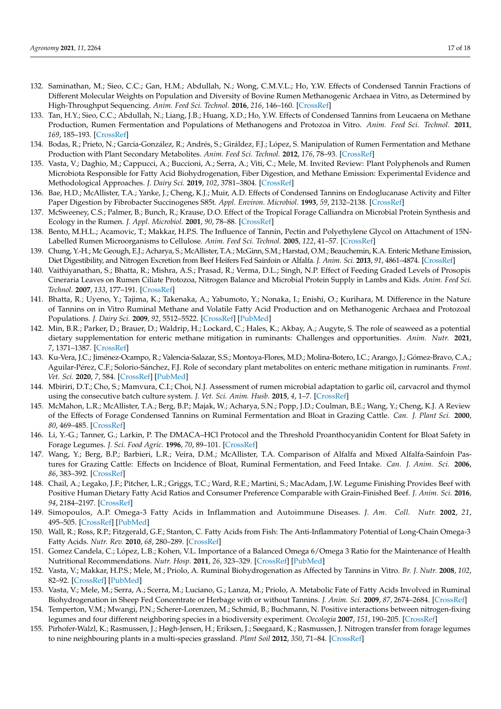- <span id="page-16-0"></span>132. Saminathan, M.; Sieo, C.C.; Gan, H.M.; Abdullah, N.; Wong, C.M.V.L.; Ho, Y.W. Effects of Condensed Tannin Fractions of Different Molecular Weights on Population and Diversity of Bovine Rumen Methanogenic Archaea in Vitro, as Determined by High-Throughput Sequencing. *Anim. Feed Sci. Technol.* **2016**, *216*, 146–160. [\[CrossRef\]](http://doi.org/10.1016/j.anifeedsci.2016.04.005)
- <span id="page-16-1"></span>133. Tan, H.Y.; Sieo, C.C.; Abdullah, N.; Liang, J.B.; Huang, X.D.; Ho, Y.W. Effects of Condensed Tannins from Leucaena on Methane Production, Rumen Fermentation and Populations of Methanogens and Protozoa in Vitro. *Anim. Feed Sci. Technol.* **2011**, *169*, 185–193. [\[CrossRef\]](http://doi.org/10.1016/j.anifeedsci.2011.07.004)
- <span id="page-16-2"></span>134. Bodas, R.; Prieto, N.; García-González, R.; Andrés, S.; Giráldez, F.J.; López, S. Manipulation of Rumen Fermentation and Methane Production with Plant Secondary Metabolites. *Anim. Feed Sci. Technol.* **2012**, *176*, 78–93. [\[CrossRef\]](http://doi.org/10.1016/j.anifeedsci.2012.07.010)
- <span id="page-16-3"></span>135. Vasta, V.; Daghio, M.; Cappucci, A.; Buccioni, A.; Serra, A.; Viti, C.; Mele, M. Invited Review: Plant Polyphenols and Rumen Microbiota Responsible for Fatty Acid Biohydrogenation, Fiber Digestion, and Methane Emission: Experimental Evidence and Methodological Approaches. *J. Dairy Sci.* **2019**, *102*, 3781–3804. [\[CrossRef\]](http://doi.org/10.3168/jds.2018-14985)
- <span id="page-16-4"></span>136. Bae, H.D.; McAllister, T.A.; Yanke, J.; Cheng, K.J.; Muir, A.D. Effects of Condensed Tannins on Endoglucanase Activity and Filter Paper Digestion by Fibrobacter Succinogenes S85t. *Appl. Environ. Microbiol.* **1993**, *59*, 2132–2138. [\[CrossRef\]](http://doi.org/10.1128/aem.59.7.2132-2138.1993)
- <span id="page-16-5"></span>137. McSweeney, C.S.; Palmer, B.; Bunch, R.; Krause, D.O. Effect of the Tropical Forage Calliandra on Microbial Protein Synthesis and Ecology in the Rumen. *J. Appl. Microbiol.* **2001**, *90*, 78–88. [\[CrossRef\]](http://doi.org/10.1046/j.1365-2672.2001.01220.x)
- <span id="page-16-6"></span>138. Bento, M.H.L.; Acamovic, T.; Makkar, H.P.S. The Influence of Tannin, Pectin and Polyethylene Glycol on Attachment of 15N-Labelled Rumen Microorganisms to Cellulose. *Anim. Feed Sci. Technol.* **2005**, *122*, 41–57. [\[CrossRef\]](http://doi.org/10.1016/j.anifeedsci.2005.04.010)
- <span id="page-16-7"></span>139. Chung, Y.-H.; Mc Geough, E.J.; Acharya, S.; McAllister, T.A.; McGinn, S.M.; Harstad, O.M.; Beauchemin, K.A. Enteric Methane Emission, Diet Digestibility, and Nitrogen Excretion from Beef Heifers Fed Sainfoin or Alfalfa. *J. Anim. Sci.* **2013**, *91*, 4861–4874. [\[CrossRef\]](http://doi.org/10.2527/jas.2013-6498)
- <span id="page-16-8"></span>140. Vaithiyanathan, S.; Bhatta, R.; Mishra, A.S.; Prasad, R.; Verma, D.L.; Singh, N.P. Effect of Feeding Graded Levels of Prosopis Cineraria Leaves on Rumen Ciliate Protozoa, Nitrogen Balance and Microbial Protein Supply in Lambs and Kids. *Anim. Feed Sci. Technol.* **2007**, *133*, 177–191. [\[CrossRef\]](http://doi.org/10.1016/j.anifeedsci.2006.04.003)
- <span id="page-16-9"></span>141. Bhatta, R.; Uyeno, Y.; Tajima, K.; Takenaka, A.; Yabumoto, Y.; Nonaka, I.; Enishi, O.; Kurihara, M. Difference in the Nature of Tannins on in Vitro Ruminal Methane and Volatile Fatty Acid Production and on Methanogenic Archaea and Protozoal Populations. *J. Dairy Sci.* **2009**, *92*, 5512–5522. [\[CrossRef\]](http://doi.org/10.3168/jds.2008-1441) [\[PubMed\]](http://www.ncbi.nlm.nih.gov/pubmed/19841214)
- <span id="page-16-10"></span>142. Min, B.R.; Parker, D.; Brauer, D.; Waldrip, H.; Lockard, C.; Hales, K.; Akbay, A.; Augyte, S. The role of seaweed as a potential dietary supplementation for enteric methane mitigation in ruminants: Challenges and opportunities. *Anim. Nutr.* **2021**, *7*, 1371–1387. [\[CrossRef\]](http://doi.org/10.1016/j.aninu.2021.10.003)
- <span id="page-16-11"></span>143. Ku-Vera, J.C.; Jiménez-Ocampo, R.; Valencia-Salazar, S.S.; Montoya-Flores, M.D.; Molina-Botero, I.C.; Arango, J.; Gómez-Bravo, C.A.; Aguilar-Pérez, C.F.; Solorio-Sánchez, F.J. Role of secondary plant metabolites on enteric methane mitigation in ruminants. *Front. Vet. Sci.* **2020**, *7*, 584. [\[CrossRef\]](http://doi.org/10.3389/fvets.2020.00584) [\[PubMed\]](http://www.ncbi.nlm.nih.gov/pubmed/33195495)
- <span id="page-16-12"></span>144. Mbiriri, D.T.; Cho, S.; Mamvura, C.I.; Choi, N.J. Assessment of rumen microbial adaptation to garlic oil, carvacrol and thymol using the consecutive batch culture system. *J. Vet. Sci. Anim. Husb.* **2015**, *4*, 1–7. [\[CrossRef\]](http://doi.org/10.15744/2348-9790.4.101)
- <span id="page-16-13"></span>145. McMahon, L.R.; McAllister, T.A.; Berg, B.P.; Majak, W.; Acharya, S.N.; Popp, J.D.; Coulman, B.E.; Wang, Y.; Cheng, K.J. A Review of the Effects of Forage Condensed Tannins on Ruminal Fermentation and Bloat in Grazing Cattle. *Can. J. Plant Sci.* **2000**, *80*, 469–485. [\[CrossRef\]](http://doi.org/10.4141/P99-050)
- <span id="page-16-14"></span>146. Li, Y.-G.; Tanner, G.; Larkin, P. The DMACA–HCl Protocol and the Threshold Proanthocyanidin Content for Bloat Safety in Forage Legumes. *J. Sci. Food Agric.* **1996**, *70*, 89–101. [\[CrossRef\]](http://doi.org/10.1002/(SICI)1097-0010(199601)70:1<89::AID-JSFA470>3.0.CO;2-N)
- <span id="page-16-15"></span>147. Wang, Y.; Berg, B.P.; Barbieri, L.R.; Veira, D.M.; McAllister, T.A. Comparison of Alfalfa and Mixed Alfalfa-Sainfoin Pastures for Grazing Cattle: Effects on Incidence of Bloat, Ruminal Fermentation, and Feed Intake. *Can. J. Anim. Sci.* **2006**, *86*, 383–392. [\[CrossRef\]](http://doi.org/10.4141/A06-009)
- <span id="page-16-16"></span>148. Chail, A.; Legako, J.F.; Pitcher, L.R.; Griggs, T.C.; Ward, R.E.; Martini, S.; MacAdam, J.W. Legume Finishing Provides Beef with Positive Human Dietary Fatty Acid Ratios and Consumer Preference Comparable with Grain-Finished Beef. *J. Anim. Sci.* **2016**, *94*, 2184–2197. [\[CrossRef\]](http://doi.org/10.2527/jas.2015-0241)
- <span id="page-16-17"></span>149. Simopoulos, A.P. Omega-3 Fatty Acids in Inflammation and Autoimmune Diseases. *J. Am. Coll. Nutr.* **2002**, *21*, 495–505. [\[CrossRef\]](http://doi.org/10.1080/07315724.2002.10719248) [\[PubMed\]](http://www.ncbi.nlm.nih.gov/pubmed/12480795)
- 150. Wall, R.; Ross, R.P.; Fitzgerald, G.F.; Stanton, C. Fatty Acids from Fish: The Anti-Inflammatory Potential of Long-Chain Omega-3 Fatty Acids. *Nutr. Rev.* **2010**, *68*, 280–289. [\[CrossRef\]](http://doi.org/10.1111/j.1753-4887.2010.00287.x)
- <span id="page-16-18"></span>151. Gomez Candela, C.; López, L.B.; Kohen, V.L. Importance of a Balanced Omega 6/Omega 3 Ratio for the Maintenance of Health Nutritional Recommendations. *Nutr. Hosp.* **2011**, *26*, 323–329. [\[CrossRef\]](http://doi.org/10.3305/nh.2011.26.2.5117) [\[PubMed\]](http://www.ncbi.nlm.nih.gov/pubmed/21666970)
- <span id="page-16-19"></span>152. Vasta, V.; Makkar, H.P.S.; Mele, M.; Priolo, A. Ruminal Biohydrogenation as Affected by Tannins in Vitro. *Br. J. Nutr.* **2008**, *102*, 82–92. [\[CrossRef\]](http://doi.org/10.1017/S0007114508137898) [\[PubMed\]](http://www.ncbi.nlm.nih.gov/pubmed/19063768)
- <span id="page-16-20"></span>153. Vasta, V.; Mele, M.; Serra, A.; Scerra, M.; Luciano, G.; Lanza, M.; Priolo, A. Metabolic Fate of Fatty Acids Involved in Ruminal Biohydrogenation in Sheep Fed Concentrate or Herbage with or without Tannins. *J. Anim. Sci.* **2009**, *87*, 2674–2684. [\[CrossRef\]](http://doi.org/10.2527/jas.2008-1761)
- <span id="page-16-21"></span>154. Temperton, V.M.; Mwangi, P.N.; Scherer-Lorenzen, M.; Schmid, B.; Buchmann, N. Positive interactions between nitrogen-fixing legumes and four different neighboring species in a biodiversity experiment. *Oecologia* **2007**, *151*, 190–205. [\[CrossRef\]](http://doi.org/10.1007/s00442-006-0576-z)
- <span id="page-16-22"></span>155. Pirhofer-Walzl, K.; Rasmussen, J.; Høgh-Jensen, H.; Eriksen, J.; Søegaard, K.; Rasmussen, J. Nitrogen transfer from forage legumes to nine neighbouring plants in a multi-species grassland. *Plant Soil* **2012**, *350*, 71–84. [\[CrossRef\]](http://doi.org/10.1007/s11104-011-0882-z)